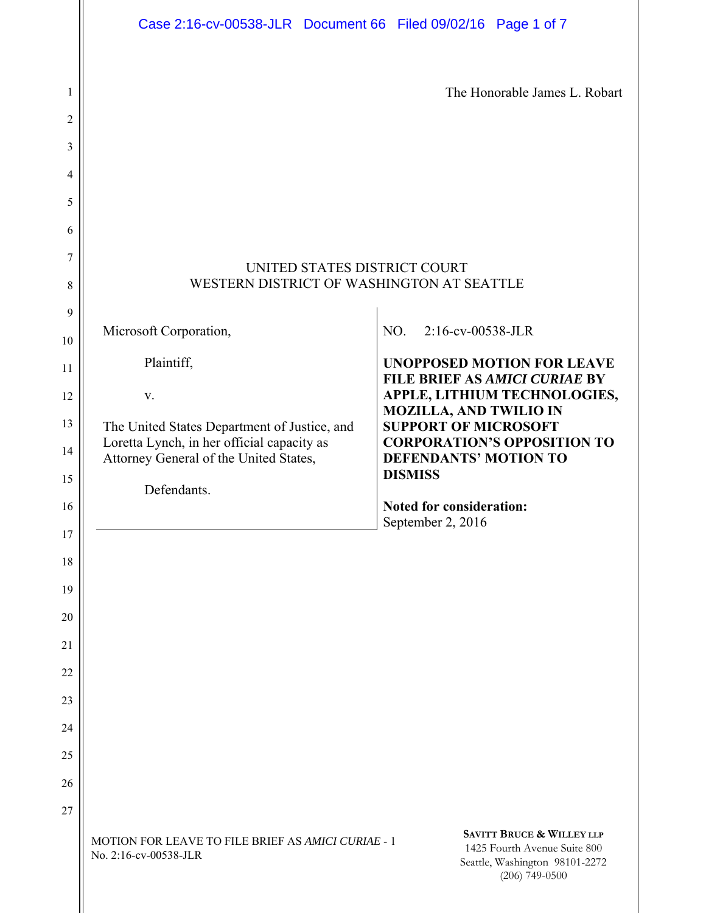|                     | Case 2:16-cv-00538-JLR Document 66 Filed 09/02/16 Page 1 of 7                        |                                                                                                                            |
|---------------------|--------------------------------------------------------------------------------------|----------------------------------------------------------------------------------------------------------------------------|
| 1<br>$\overline{2}$ |                                                                                      | The Honorable James L. Robart                                                                                              |
| 3                   |                                                                                      |                                                                                                                            |
| 4                   |                                                                                      |                                                                                                                            |
| 5                   |                                                                                      |                                                                                                                            |
| 6                   |                                                                                      |                                                                                                                            |
| 7<br>8              | UNITED STATES DISTRICT COURT<br>WESTERN DISTRICT OF WASHINGTON AT SEATTLE            |                                                                                                                            |
| 9                   |                                                                                      |                                                                                                                            |
| 10                  | Microsoft Corporation,                                                               | 2:16-cv-00538-JLR<br>NO.                                                                                                   |
| 11                  | Plaintiff,                                                                           | <b>UNOPPOSED MOTION FOR LEAVE</b><br>FILE BRIEF AS AMICI CURIAE BY                                                         |
| 12                  | V.                                                                                   | APPLE, LITHIUM TECHNOLOGIES,<br><b>MOZILLA, AND TWILIO IN</b>                                                              |
| 13                  | The United States Department of Justice, and                                         | <b>SUPPORT OF MICROSOFT</b>                                                                                                |
| 14                  | Loretta Lynch, in her official capacity as<br>Attorney General of the United States, | <b>CORPORATION'S OPPOSITION TO</b><br><b>DEFENDANTS' MOTION TO</b>                                                         |
| 15                  | Defendants.                                                                          | <b>DISMISS</b>                                                                                                             |
| 16                  |                                                                                      | <b>Noted for consideration:</b><br>September 2, 2016                                                                       |
| 17                  |                                                                                      |                                                                                                                            |
| 18                  |                                                                                      |                                                                                                                            |
| 19                  |                                                                                      |                                                                                                                            |
| 20<br>21            |                                                                                      |                                                                                                                            |
| 22                  |                                                                                      |                                                                                                                            |
| 23                  |                                                                                      |                                                                                                                            |
| 24                  |                                                                                      |                                                                                                                            |
| 25                  |                                                                                      |                                                                                                                            |
| 26                  |                                                                                      |                                                                                                                            |
| 27                  |                                                                                      |                                                                                                                            |
|                     | MOTION FOR LEAVE TO FILE BRIEF AS AMICI CURIAE - 1<br>No. 2:16-cv-00538-JLR          | <b>SAVITT BRUCE &amp; WILLEY LLP</b><br>1425 Fourth Avenue Suite 800<br>Seattle, Washington 98101-2272<br>$(206)$ 749-0500 |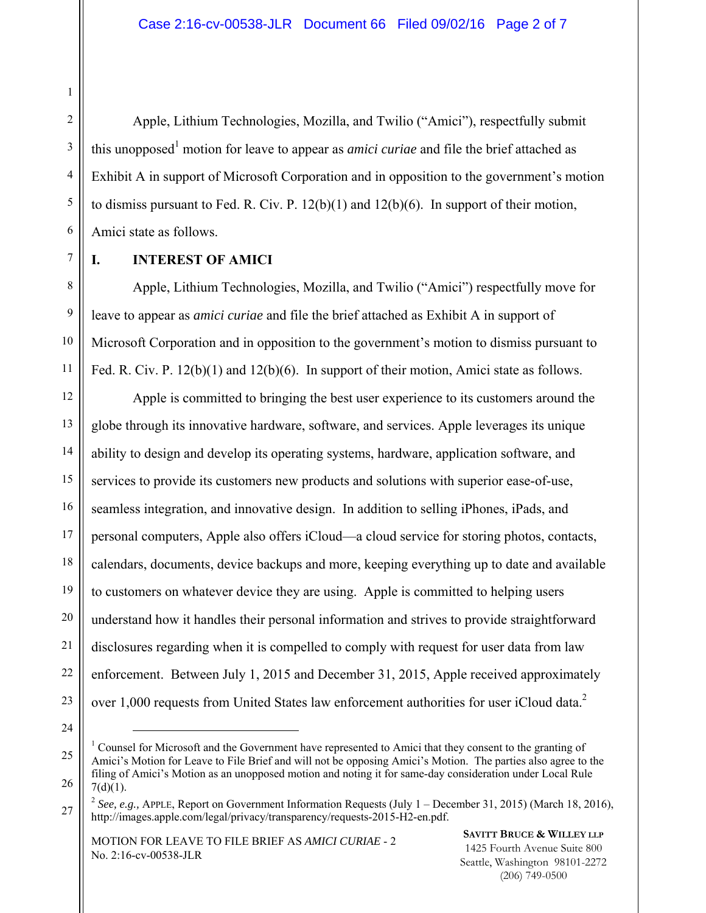#### Case 2:16-cv-00538-JLR Document 66 Filed 09/02/16 Page 2 of 7

Apple, Lithium Technologies, Mozilla, and Twilio ("Amici"), respectfully submit this unopposed<sup>1</sup> motion for leave to appear as *amici curiae* and file the brief attached as Exhibit A in support of Microsoft Corporation and in opposition to the government's motion to dismiss pursuant to Fed. R. Civ. P.  $12(b)(1)$  and  $12(b)(6)$ . In support of their motion, Amici state as follows.

#### **I. INTEREST OF AMICI**

Apple, Lithium Technologies, Mozilla, and Twilio ("Amici") respectfully move for leave to appear as *amici curiae* and file the brief attached as Exhibit A in support of Microsoft Corporation and in opposition to the government's motion to dismiss pursuant to Fed. R. Civ. P. 12(b)(1) and 12(b)(6). In support of their motion, Amici state as follows.

12 13 14 15 16 17 18 19 20 21 22 23 Apple is committed to bringing the best user experience to its customers around the globe through its innovative hardware, software, and services. Apple leverages its unique ability to design and develop its operating systems, hardware, application software, and services to provide its customers new products and solutions with superior ease-of-use, seamless integration, and innovative design. In addition to selling iPhones, iPads, and personal computers, Apple also offers iCloud—a cloud service for storing photos, contacts, calendars, documents, device backups and more, keeping everything up to date and available to customers on whatever device they are using. Apple is committed to helping users understand how it handles their personal information and strives to provide straightforward disclosures regarding when it is compelled to comply with request for user data from law enforcement. Between July 1, 2015 and December 31, 2015, Apple received approximately over 1,000 requests from United States law enforcement authorities for user iCloud data. $^2$ 

24

1

2

3

4

5

6

7

8

9

10

11

MOTION FOR LEAVE TO FILE BRIEF AS *AMICI CURIAE* - 2 No. 2:16-cv-00538-JLR

**SAVITT BRUCE & WILLEY LLP** 1425 Fourth Avenue Suite 800 Seattle, Washington 98101-2272 (206) 749-0500

<sup>25</sup>  26 <sup>1</sup> Counsel for Microsoft and the Government have represented to Amici that they consent to the granting of Amici's Motion for Leave to File Brief and will not be opposing Amici's Motion. The parties also agree to the filing of Amici's Motion as an unopposed motion and noting it for same-day consideration under Local Rule  $7(d)(1)$ .

<sup>27</sup>  <sup>2</sup> See, e.g., APPLE, Report on Government Information Requests (July 1 – December 31, 2015) (March 18, 2016), http://images.apple.com/legal/privacy/transparency/requests-2015-H2-en.pdf.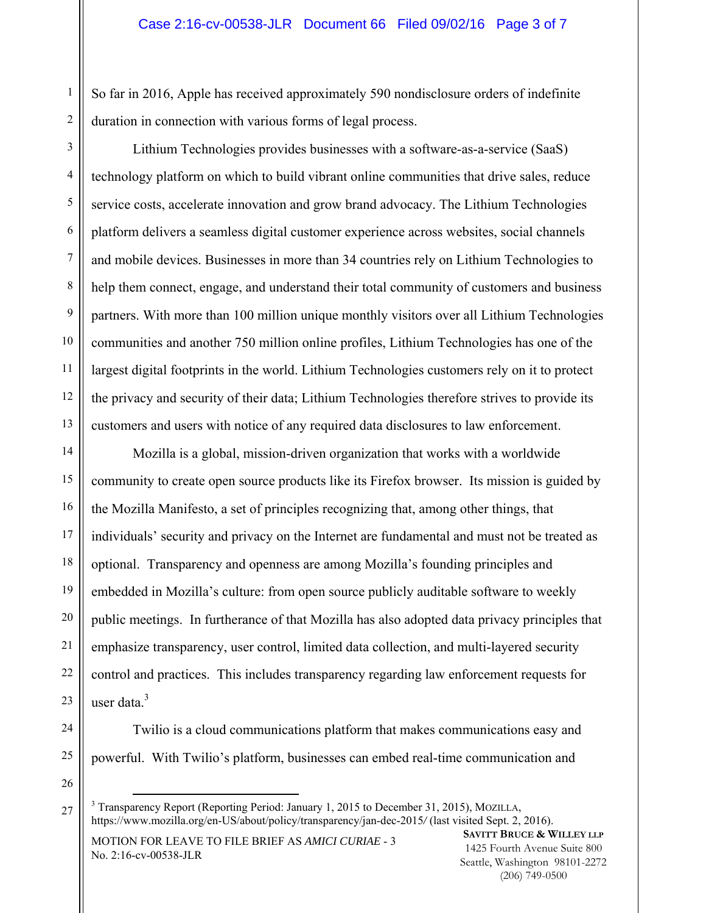So far in 2016, Apple has received approximately 590 nondisclosure orders of indefinite duration in connection with various forms of legal process.

6 12 Lithium Technologies provides businesses with a software-as-a-service (SaaS) technology platform on which to build vibrant online communities that drive sales, reduce service costs, accelerate innovation and grow brand advocacy. The Lithium Technologies platform delivers a seamless digital customer experience across websites, social channels and mobile devices. Businesses in more than 34 countries rely on Lithium Technologies to help them connect, engage, and understand their total community of customers and business partners. With more than 100 million unique monthly visitors over all Lithium Technologies communities and another 750 million online profiles, Lithium Technologies has one of the largest digital footprints in the world. Lithium Technologies customers rely on it to protect the privacy and security of their data; Lithium Technologies therefore strives to provide its customers and users with notice of any required data disclosures to law enforcement.

14 15 16 17 18 19 20 21 22 23 Mozilla is a global, mission-driven organization that works with a worldwide community to create open source products like its Firefox browser. Its mission is guided by the Mozilla Manifesto, a set of principles recognizing that, among other things, that individuals' security and privacy on the Internet are fundamental and must not be treated as optional. Transparency and openness are among Mozilla's founding principles and embedded in Mozilla's culture: from open source publicly auditable software to weekly public meetings. In furtherance of that Mozilla has also adopted data privacy principles that emphasize transparency, user control, limited data collection, and multi-layered security control and practices. This includes transparency regarding law enforcement requests for user data. $^3$ 

1

2

3

4

5

7

8

9

10

11

13

26

27

Twilio is a cloud communications platform that makes communications easy and powerful. With Twilio's platform, businesses can embed real-time communication and

MOTION FOR LEAVE TO FILE BRIEF AS *AMICI CURIAE* - 3 No. 2:16-cv-00538-JLR

<sup>24</sup>  25

<sup>&</sup>lt;sup>3</sup> Transparency Report (Reporting Period: January 1, 2015 to December 31, 2015), MOZILLA, https://www.mozilla.org/en-US/about/policy/transparency/jan-dec-2015*/* (last visited Sept. 2, 2016).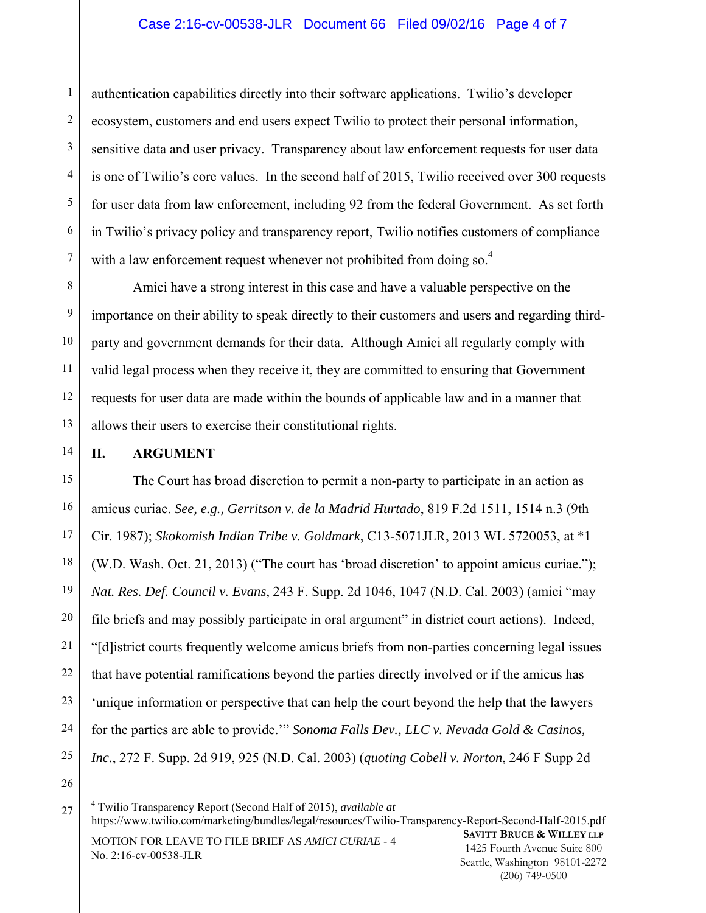authentication capabilities directly into their software applications. Twilio's developer ecosystem, customers and end users expect Twilio to protect their personal information, sensitive data and user privacy. Transparency about law enforcement requests for user data is one of Twilio's core values. In the second half of 2015, Twilio received over 300 requests for user data from law enforcement, including 92 from the federal Government. As set forth in Twilio's privacy policy and transparency report, Twilio notifies customers of compliance with a law enforcement request whenever not prohibited from doing so.<sup>4</sup>

Amici have a strong interest in this case and have a valuable perspective on the importance on their ability to speak directly to their customers and users and regarding thirdparty and government demands for their data. Although Amici all regularly comply with valid legal process when they receive it, they are committed to ensuring that Government requests for user data are made within the bounds of applicable law and in a manner that allows their users to exercise their constitutional rights.

14

1

2

3

4

5

6

#### **II. ARGUMENT**

24 25 The Court has broad discretion to permit a non-party to participate in an action as amicus curiae. *See, e.g., Gerritson v. de la Madrid Hurtado*, 819 F.2d 1511, 1514 n.3 (9th Cir. 1987); *Skokomish Indian Tribe v. Goldmark*, C13-5071JLR, 2013 WL 5720053, at \*1 (W.D. Wash. Oct. 21, 2013) ("The court has 'broad discretion' to appoint amicus curiae."); *Nat. Res. Def. Council v. Evans*, 243 F. Supp. 2d 1046, 1047 (N.D. Cal. 2003) (amici "may file briefs and may possibly participate in oral argument" in district court actions). Indeed, "[d]istrict courts frequently welcome amicus briefs from non-parties concerning legal issues that have potential ramifications beyond the parties directly involved or if the amicus has 'unique information or perspective that can help the court beyond the help that the lawyers for the parties are able to provide.'" *Sonoma Falls Dev., LLC v. Nevada Gold & Casinos, Inc.*, 272 F. Supp. 2d 919, 925 (N.D. Cal. 2003) (*quoting Cobell v. Norton*, 246 F Supp 2d

26

MOTION FOR LEAVE TO FILE BRIEF AS *AMICI CURIAE* - 4 No. 2:16-cv-00538-JLR **SAVITT BRUCE & WILLEY LLP** 1425 Fourth Avenue Suite 800 Seattle, Washington 98101-2272 4 Twilio Transparency Report (Second Half of 2015), *available at* https://www.twilio.com/marketing/bundles/legal/resources/Twilio-Transparency-Report-Second-Half-2015.pdf

(206) 749-0500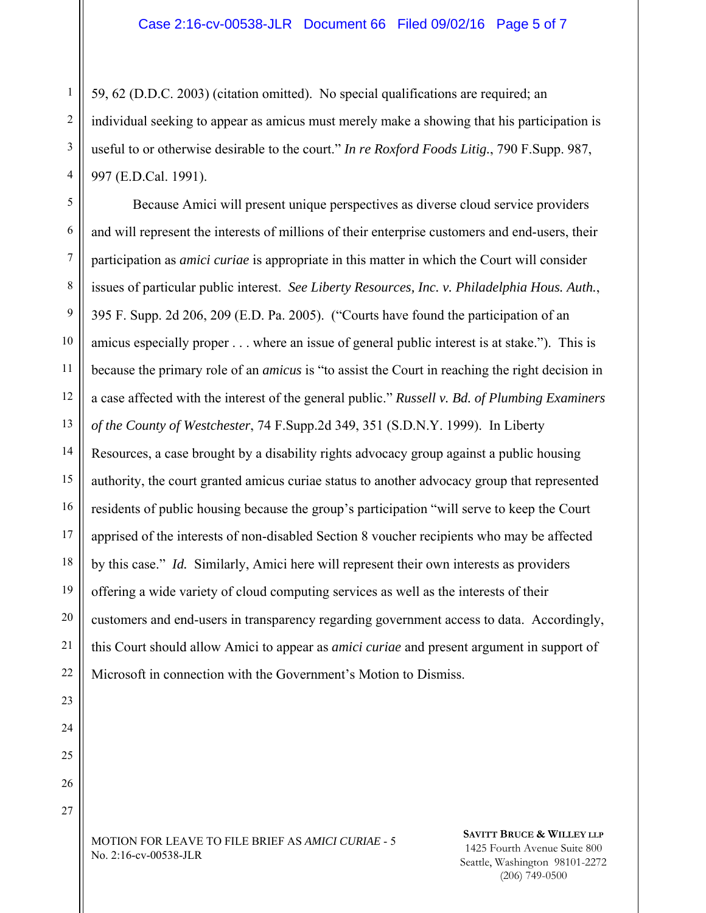59, 62 (D.D.C. 2003) (citation omitted). No special qualifications are required; an individual seeking to appear as amicus must merely make a showing that his participation is useful to or otherwise desirable to the court." *In re Roxford Foods Litig.*, 790 F.Supp. 987, 997 (E.D.Cal. 1991).

5 6 7 8 9 10 11 12 13 14 15 16 17 18 19 20 21 22 Because Amici will present unique perspectives as diverse cloud service providers and will represent the interests of millions of their enterprise customers and end-users, their participation as *amici curiae* is appropriate in this matter in which the Court will consider issues of particular public interest. *See Liberty Resources, Inc. v. Philadelphia Hous. Auth.*, 395 F. Supp. 2d 206, 209 (E.D. Pa. 2005). ("Courts have found the participation of an amicus especially proper . . . where an issue of general public interest is at stake."). This is because the primary role of an *amicus* is "to assist the Court in reaching the right decision in a case affected with the interest of the general public." *Russell v. Bd. of Plumbing Examiners of the County of Westchester*, 74 F.Supp.2d 349, 351 (S.D.N.Y. 1999). In Liberty Resources, a case brought by a disability rights advocacy group against a public housing authority, the court granted amicus curiae status to another advocacy group that represented residents of public housing because the group's participation "will serve to keep the Court apprised of the interests of non-disabled Section 8 voucher recipients who may be affected by this case." *Id.* Similarly, Amici here will represent their own interests as providers offering a wide variety of cloud computing services as well as the interests of their customers and end-users in transparency regarding government access to data. Accordingly, this Court should allow Amici to appear as *amici curiae* and present argument in support of Microsoft in connection with the Government's Motion to Dismiss.

23 24

25

26

27

1

2

3

4

MOTION FOR LEAVE TO FILE BRIEF AS *AMICI CURIAE* - 5 No. 2:16-cv-00538-JLR

**SAVITT BRUCE & WILLEY LLP** 1425 Fourth Avenue Suite 800 Seattle, Washington 98101-2272 (206) 749-0500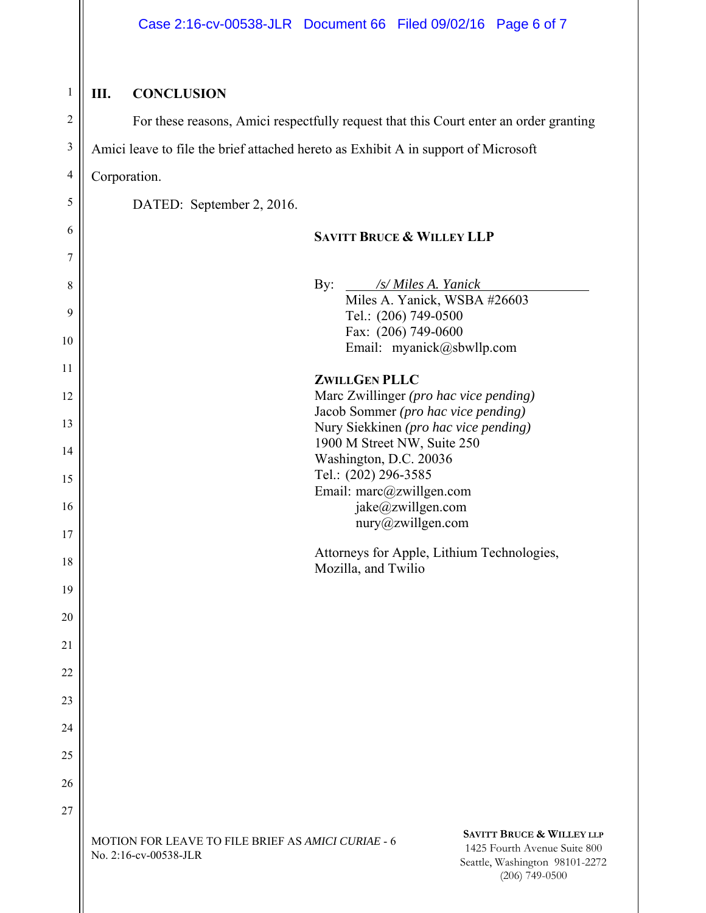| 1               |
|-----------------|
| $\mathcal{P}$   |
| 3               |
| 4               |
| 5               |
| 6               |
| 7               |
| 8               |
| 9               |
| 10              |
| $\frac{1}{1}$   |
| 12              |
| 13              |
| $\frac{14}{5}$  |
| 15              |
| 16              |
| $\frac{1}{7}$   |
| 18              |
| 19              |
| $\overline{20}$ |
| $\frac{21}{2}$  |
| $^{22}$         |
| $\overline{23}$ |
| 24              |
| 25              |
| $\frac{26}{5}$  |
| $\frac{1}{2}$   |

#### **III. CONCLUSION**

For these reasons, Amici respectfully request that this Court enter an order granting

Amici leave to file the brief attached hereto as Exhibit A in support of Microsoft

Corporation.

DATED: September 2, 2016.

#### **SAVITT BRUCE & WILLEY LLP**

By: */s/ Miles A. Yanick* Miles A. Yanick, WSBA #26603 Tel.: (206) 749-0500 Fax: (206) 749-0600 Email: myanick@sbwllp.com **ZWILLGEN PLLC**  Marc Zwillinger *(pro hac vice pending)*  Jacob Sommer *(pro hac vice pending)* 

Nury Siekkinen *(pro hac vice pending)*  1900 M Street NW, Suite 250 Washington, D.C. 20036 Tel.: (202) 296-3585 Email: marc@zwillgen.com jake@zwillgen.com nury@zwillgen.com

Attorneys for Apple, Lithium Technologies, Mozilla, and Twilio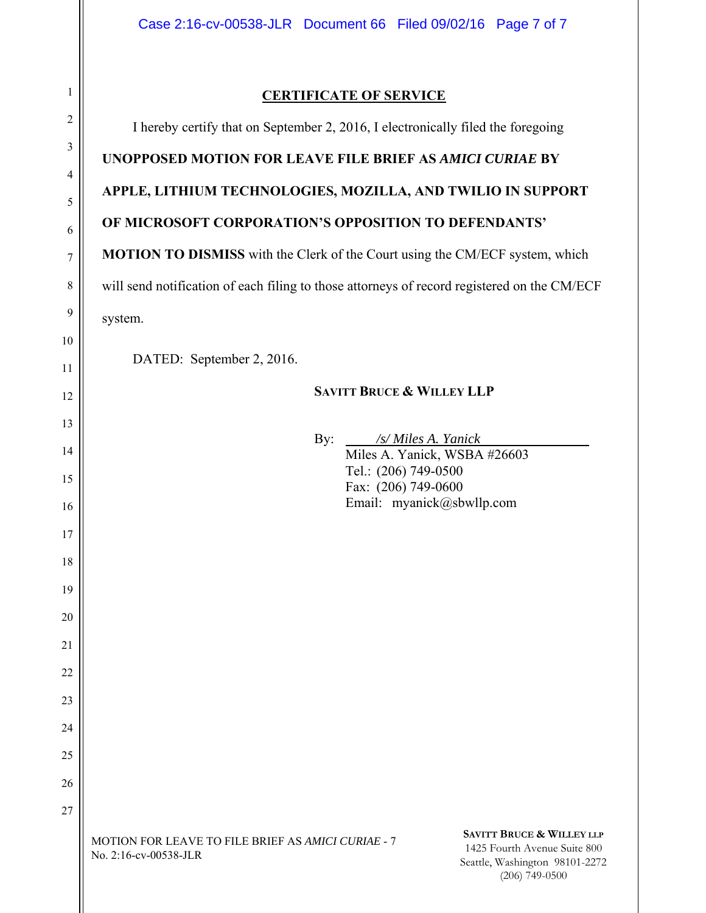#### **CERTIFICATE OF SERVICE**

I hereby certify that on September 2, 2016, I electronically filed the foregoing

**UNOPPOSED MOTION FOR LEAVE FILE BRIEF AS** *AMICI CURIAE* **BY** 

**APPLE, LITHIUM TECHNOLOGIES, MOZILLA, AND TWILIO IN SUPPORT** 

### **OF MICROSOFT CORPORATION'S OPPOSITION TO DEFENDANTS'**

**MOTION TO DISMISS** with the Clerk of the Court using the CM/ECF system, which

will send notification of each filing to those attorneys of record registered on the CM/ECF

system.

DATED: September 2, 2016.

#### **SAVITT BRUCE & WILLEY LLP**

By: */s/ Miles A. Yanick*

Miles A. Yanick, WSBA #26603 Tel.: (206) 749-0500 Fax: (206) 749-0600 Email: myanick@sbwllp.com

**SAVITT BRUCE & WILLEY LLP** 1425 Fourth Avenue Suite 800 Seattle, Washington 98101-2272 (206) 749-0500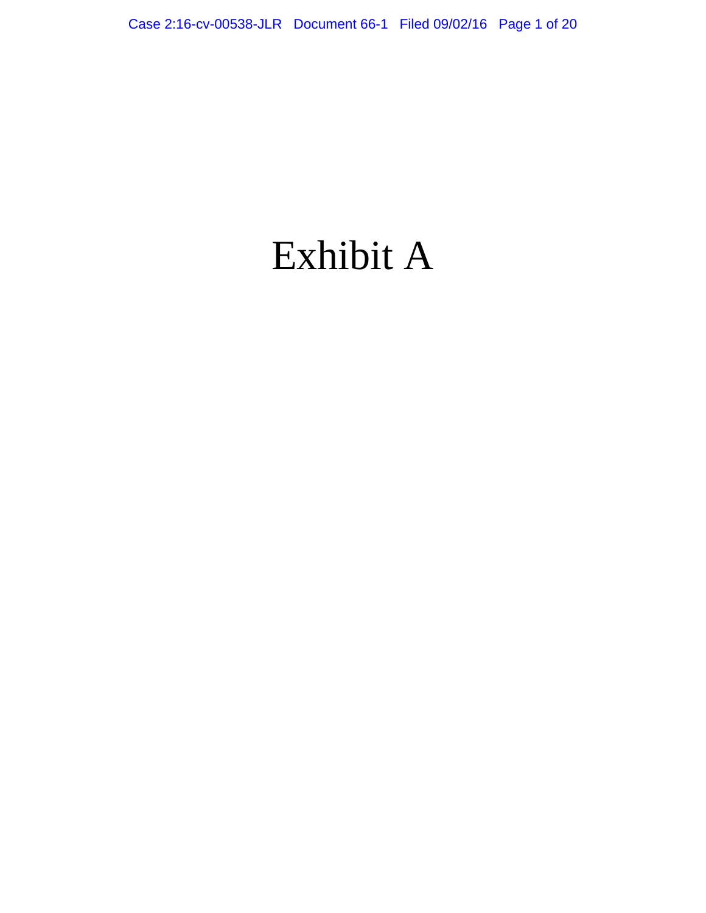# Exhibit A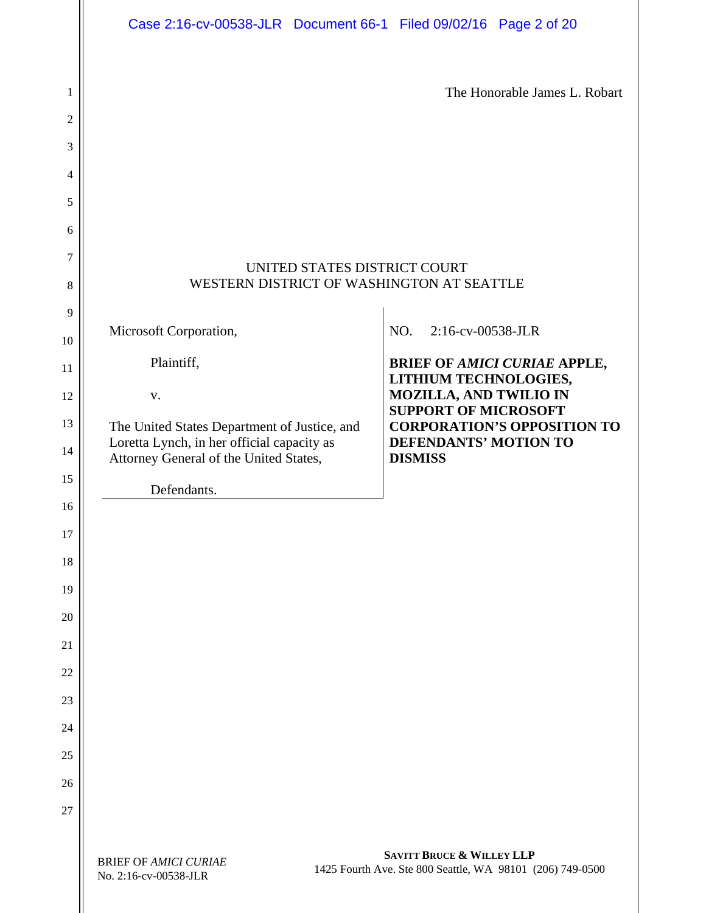|          | Case 2:16-cv-00538-JLR Document 66-1 Filed 09/02/16 Page 2 of 20                     |                                                                                                   |
|----------|--------------------------------------------------------------------------------------|---------------------------------------------------------------------------------------------------|
| 1<br>2   |                                                                                      | The Honorable James L. Robart                                                                     |
| 3        |                                                                                      |                                                                                                   |
| 4        |                                                                                      |                                                                                                   |
| 5        |                                                                                      |                                                                                                   |
| 6        |                                                                                      |                                                                                                   |
| 7        | UNITED STATES DISTRICT COURT                                                         |                                                                                                   |
| 8        | WESTERN DISTRICT OF WASHINGTON AT SEATTLE                                            |                                                                                                   |
| 9        |                                                                                      |                                                                                                   |
| 10       | Microsoft Corporation,                                                               | 2:16-cv-00538-JLR<br>NO.                                                                          |
| 11       | Plaintiff,                                                                           | <b>BRIEF OF AMICI CURIAE APPLE,</b><br>LITHIUM TECHNOLOGIES,                                      |
| 12       | V.                                                                                   | <b>MOZILLA, AND TWILIO IN</b><br><b>SUPPORT OF MICROSOFT</b>                                      |
| 13       | The United States Department of Justice, and                                         | <b>CORPORATION'S OPPOSITION TO</b><br><b>DEFENDANTS' MOTION TO</b>                                |
| 14       | Loretta Lynch, in her official capacity as<br>Attorney General of the United States, | <b>DISMISS</b>                                                                                    |
| 15       | Defendants.                                                                          |                                                                                                   |
| 16       |                                                                                      |                                                                                                   |
| 17       |                                                                                      |                                                                                                   |
| 18       |                                                                                      |                                                                                                   |
| 19       |                                                                                      |                                                                                                   |
| 20       |                                                                                      |                                                                                                   |
| 21<br>22 |                                                                                      |                                                                                                   |
| 23       |                                                                                      |                                                                                                   |
| 24       |                                                                                      |                                                                                                   |
| 25       |                                                                                      |                                                                                                   |
| 26       |                                                                                      |                                                                                                   |
| 27       |                                                                                      |                                                                                                   |
|          | <b>BRIEF OF AMICI CURIAE</b><br>No. 2:16-cv-00538-JLR                                | <b>SAVITT BRUCE &amp; WILLEY LLP</b><br>1425 Fourth Ave. Ste 800 Seattle, WA 98101 (206) 749-0500 |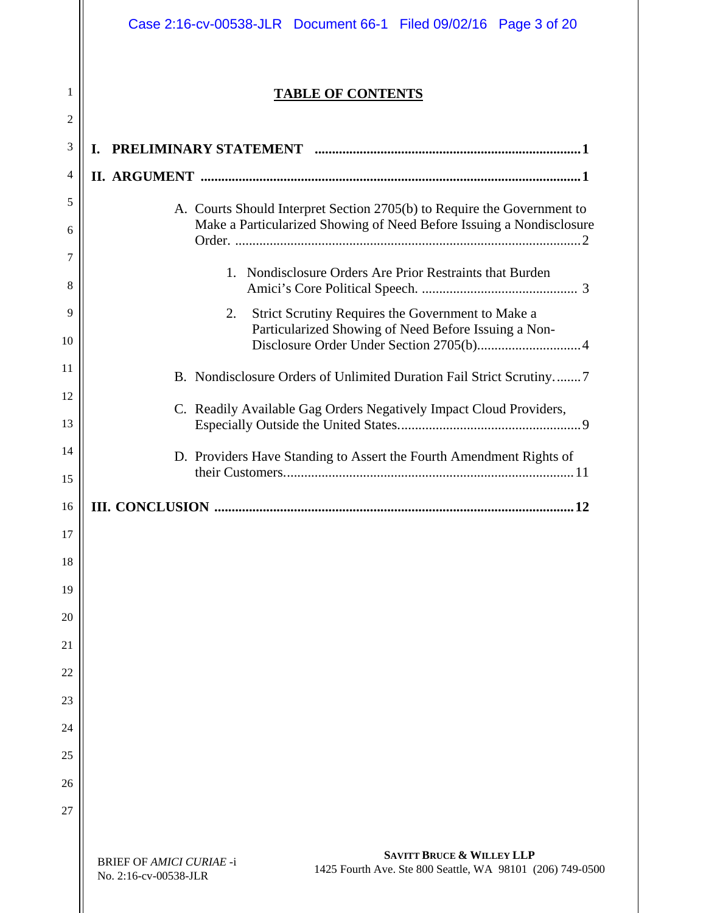|          | Case 2:16-cv-00538-JLR Document 66-1 Filed 09/02/16 Page 3 of 20                                                                                              |
|----------|---------------------------------------------------------------------------------------------------------------------------------------------------------------|
| 1<br>2   | <b>TABLE OF CONTENTS</b>                                                                                                                                      |
| 3        | PRELIMINARY STATEMENT minimuminimuminimuminimuminimuminimum 1<br>L.                                                                                           |
| 4        |                                                                                                                                                               |
| 5        | A. Courts Should Interpret Section 2705(b) to Require the Government to                                                                                       |
| 6<br>7   | Make a Particularized Showing of Need Before Issuing a Nondisclosure                                                                                          |
| 8        | 1. Nondisclosure Orders Are Prior Restraints that Burden                                                                                                      |
| 9        | Strict Scrutiny Requires the Government to Make a<br>2.                                                                                                       |
| 10       | Particularized Showing of Need Before Issuing a Non-                                                                                                          |
| 11       | B. Nondisclosure Orders of Unlimited Duration Fail Strict Scrutiny7                                                                                           |
| 12<br>13 | C. Readily Available Gag Orders Negatively Impact Cloud Providers,                                                                                            |
| 14       | D. Providers Have Standing to Assert the Fourth Amendment Rights of                                                                                           |
| 15       |                                                                                                                                                               |
| 16       |                                                                                                                                                               |
| 17       |                                                                                                                                                               |
| 18       |                                                                                                                                                               |
| 19       |                                                                                                                                                               |
| 20       |                                                                                                                                                               |
| 21       |                                                                                                                                                               |
| 22       |                                                                                                                                                               |
| 23       |                                                                                                                                                               |
| 24       |                                                                                                                                                               |
| 25       |                                                                                                                                                               |
| 26       |                                                                                                                                                               |
| 27       |                                                                                                                                                               |
|          | <b>SAVITT BRUCE &amp; WILLEY LLP</b><br><b>BRIEF OF AMICI CURIAE -i</b><br>1425 Fourth Ave. Ste 800 Seattle, WA 98101 (206) 749-0500<br>No. 2:16-cv-00538-JLR |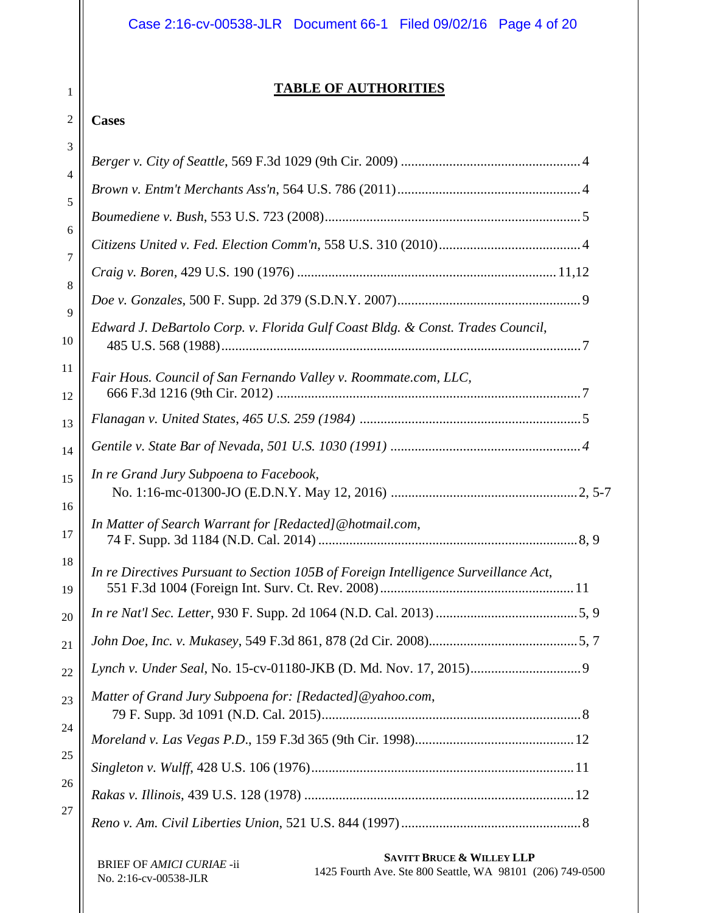#### **TABLE OF AUTHORITIES**

#### 2 **Cases**

| 3              |                                                                                     |  |
|----------------|-------------------------------------------------------------------------------------|--|
| $\overline{4}$ |                                                                                     |  |
| 5              |                                                                                     |  |
|                |                                                                                     |  |
| 6              |                                                                                     |  |
| 7              |                                                                                     |  |
| 8              |                                                                                     |  |
| 9<br>10        | Edward J. DeBartolo Corp. v. Florida Gulf Coast Bldg. & Const. Trades Council,      |  |
| 11<br>12       | Fair Hous. Council of San Fernando Valley v. Roommate.com, LLC,                     |  |
| 13             |                                                                                     |  |
| 14             |                                                                                     |  |
| 15<br>16       | In re Grand Jury Subpoena to Facebook,                                              |  |
| 17             | In Matter of Search Warrant for [Redacted]@hotmail.com,                             |  |
| 18<br>19       | In re Directives Pursuant to Section 105B of Foreign Intelligence Surveillance Act, |  |
| 20             |                                                                                     |  |
| 21             |                                                                                     |  |
| 22             |                                                                                     |  |
| 23             | Matter of Grand Jury Subpoena for: [Redacted]@yahoo.com,                            |  |
| 24             |                                                                                     |  |
| 25             |                                                                                     |  |
| 26             |                                                                                     |  |
| 27             |                                                                                     |  |
|                |                                                                                     |  |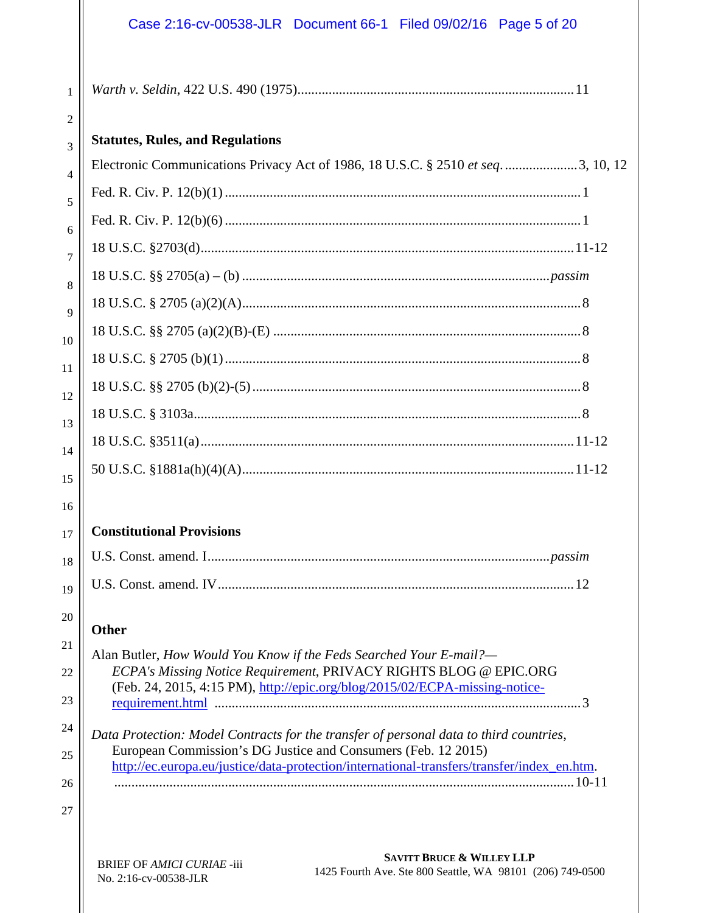## Case 2:16-cv-00538-JLR Document 66-1 Filed 09/02/16 Page 5 of 20

| 1              |                                                                                                                                                             |
|----------------|-------------------------------------------------------------------------------------------------------------------------------------------------------------|
| $\overline{2}$ | <b>Statutes, Rules, and Regulations</b>                                                                                                                     |
| 3              | Electronic Communications Privacy Act of 1986, 18 U.S.C. § 2510 et seq3, 10, 12                                                                             |
| 4              |                                                                                                                                                             |
| 5              |                                                                                                                                                             |
| 6              |                                                                                                                                                             |
| 7              |                                                                                                                                                             |
| 8              |                                                                                                                                                             |
| 9              |                                                                                                                                                             |
| 10             |                                                                                                                                                             |
| 11             |                                                                                                                                                             |
| 12             |                                                                                                                                                             |
| 13             |                                                                                                                                                             |
| 14             |                                                                                                                                                             |
| 15             |                                                                                                                                                             |
| 16             |                                                                                                                                                             |
| 17             | <b>Constitutional Provisions</b>                                                                                                                            |
| 18             |                                                                                                                                                             |
| 19             |                                                                                                                                                             |
| 20             | <b>Other</b>                                                                                                                                                |
| 21             | Alan Butler, How Would You Know if the Feds Searched Your E-mail?—                                                                                          |
| 22             | ECPA's Missing Notice Requirement, PRIVACY RIGHTS BLOG @ EPIC.ORG<br>(Feb. 24, 2015, 4:15 PM), http://epic.org/blog/2015/02/ECPA-missing-notice-            |
| 23             |                                                                                                                                                             |
| 24             | Data Protection: Model Contracts for the transfer of personal data to third countries,                                                                      |
| 25             | European Commission's DG Justice and Consumers (Feb. 12 2015)<br>http://ec.europa.eu/justice/data-protection/international-transfers/transfer/index_en.htm. |
| 26             |                                                                                                                                                             |
| 27             |                                                                                                                                                             |
|                |                                                                                                                                                             |
|                | <b>SAVITT BRUCE &amp; WILLEY LLP</b><br><b>BRIEF OF AMICI CURIAE-jij</b>                                                                                    |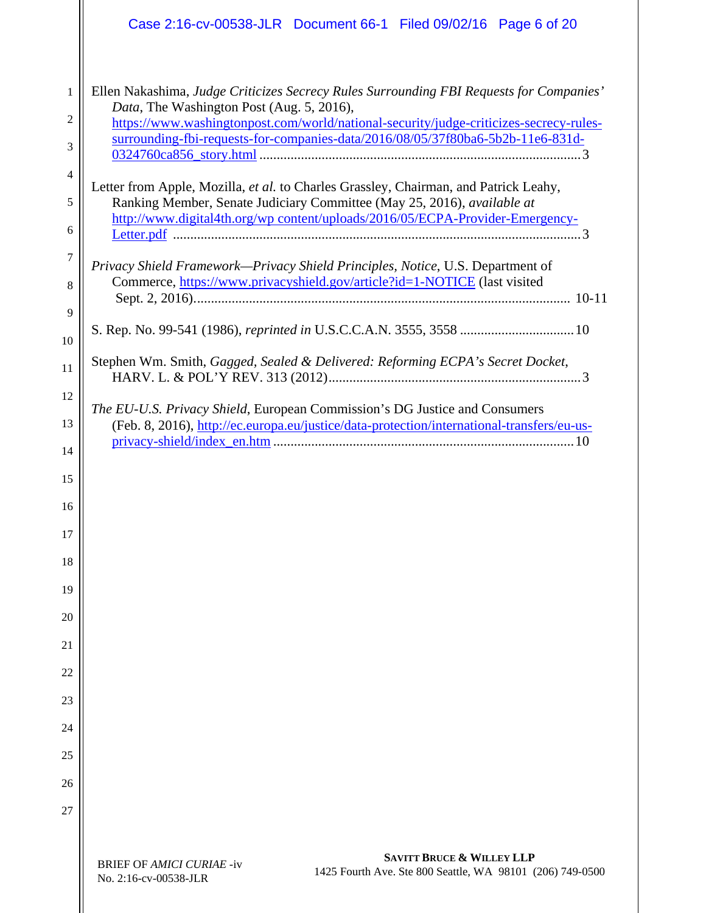|                | Case 2:16-cv-00538-JLR Document 66-1 Filed 09/02/16 Page 6 of 20                                                                                                                                                                                 |
|----------------|--------------------------------------------------------------------------------------------------------------------------------------------------------------------------------------------------------------------------------------------------|
| 1<br>2         | Ellen Nakashima, Judge Criticizes Secrecy Rules Surrounding FBI Requests for Companies'<br>Data, The Washington Post (Aug. 5, 2016),<br>https://www.washingtonpost.com/world/national-security/judge-criticizes-secrecy-rules-                   |
| 3              | surrounding-fbi-requests-for-companies-data/2016/08/05/37f80ba6-5b2b-11e6-831d-                                                                                                                                                                  |
| 4<br>5<br>6    | Letter from Apple, Mozilla, et al. to Charles Grassley, Chairman, and Patrick Leahy,<br>Ranking Member, Senate Judiciary Committee (May 25, 2016), available at<br>http://www.digital4th.org/wp content/uploads/2016/05/ECPA-Provider-Emergency- |
| 7<br>8<br>9    | Privacy Shield Framework-Privacy Shield Principles, Notice, U.S. Department of<br>Commerce, https://www.privacyshield.gov/article?id=1-NOTICE (last visited                                                                                      |
| 10             |                                                                                                                                                                                                                                                  |
| 11             | Stephen Wm. Smith, Gagged, Sealed & Delivered: Reforming ECPA's Secret Docket,                                                                                                                                                                   |
| 12<br>13<br>14 | The EU-U.S. Privacy Shield, European Commission's DG Justice and Consumers<br>(Feb. 8, 2016), http://ec.europa.eu/justice/data-protection/international-transfers/eu-us-                                                                         |
| 15             |                                                                                                                                                                                                                                                  |
| 16             |                                                                                                                                                                                                                                                  |
| 17<br>18       |                                                                                                                                                                                                                                                  |
| 19             |                                                                                                                                                                                                                                                  |
| 20             |                                                                                                                                                                                                                                                  |
| 21             |                                                                                                                                                                                                                                                  |
| 22<br>23       |                                                                                                                                                                                                                                                  |
| 24             |                                                                                                                                                                                                                                                  |
| 25             |                                                                                                                                                                                                                                                  |
| 26             |                                                                                                                                                                                                                                                  |
| 27             |                                                                                                                                                                                                                                                  |
|                | <b>SAVITT BRUCE &amp; WILLEY LLP</b><br><b>BRIEF OF AMICI CURIAE -iv</b><br>1425 Fourth Ave. Ste 800 Seattle, WA 98101 (206) 749-0500<br>No. 2:16-cv-00538-JLR                                                                                   |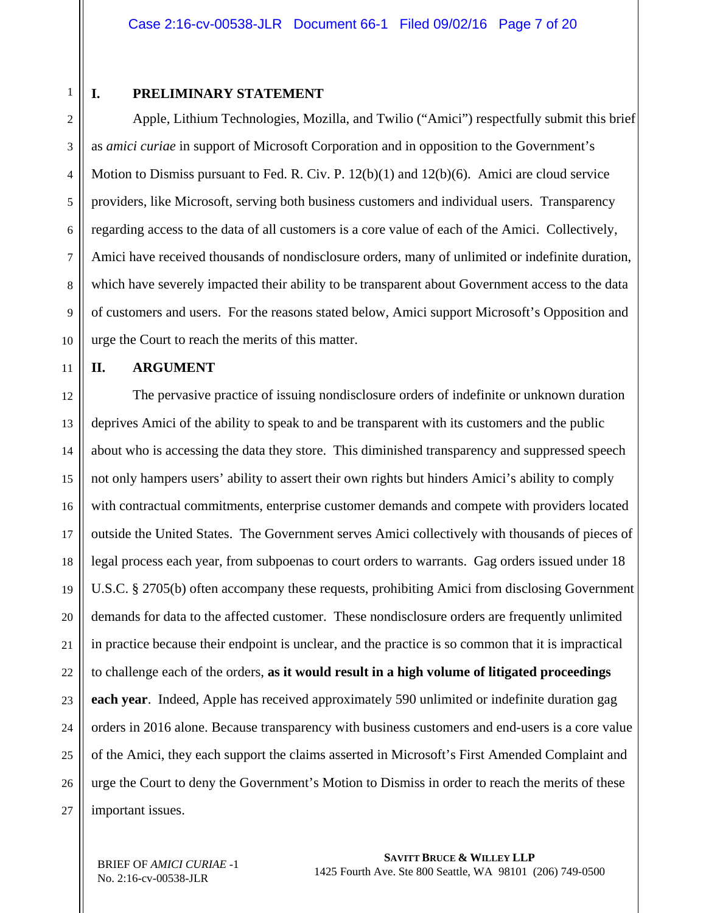1

#### **I. PRELIMINARY STATEMENT**

2 3 4 5 6 7 8 9 10 Apple, Lithium Technologies, Mozilla, and Twilio ("Amici") respectfully submit this brief as *amici curiae* in support of Microsoft Corporation and in opposition to the Government's Motion to Dismiss pursuant to Fed. R. Civ. P. 12(b)(1) and 12(b)(6). Amici are cloud service providers, like Microsoft, serving both business customers and individual users. Transparency regarding access to the data of all customers is a core value of each of the Amici. Collectively, Amici have received thousands of nondisclosure orders, many of unlimited or indefinite duration, which have severely impacted their ability to be transparent about Government access to the data of customers and users. For the reasons stated below, Amici support Microsoft's Opposition and urge the Court to reach the merits of this matter.

11

#### **II. ARGUMENT**

12 13 14 15 16 17 18 19 20 21 22 23 24 25 26 27 The pervasive practice of issuing nondisclosure orders of indefinite or unknown duration deprives Amici of the ability to speak to and be transparent with its customers and the public about who is accessing the data they store. This diminished transparency and suppressed speech not only hampers users' ability to assert their own rights but hinders Amici's ability to comply with contractual commitments, enterprise customer demands and compete with providers located outside the United States. The Government serves Amici collectively with thousands of pieces of legal process each year, from subpoenas to court orders to warrants. Gag orders issued under 18 U.S.C. § 2705(b) often accompany these requests, prohibiting Amici from disclosing Government demands for data to the affected customer. These nondisclosure orders are frequently unlimited in practice because their endpoint is unclear, and the practice is so common that it is impractical to challenge each of the orders, **as it would result in a high volume of litigated proceedings each year**. Indeed, Apple has received approximately 590 unlimited or indefinite duration gag orders in 2016 alone. Because transparency with business customers and end-users is a core value of the Amici, they each support the claims asserted in Microsoft's First Amended Complaint and urge the Court to deny the Government's Motion to Dismiss in order to reach the merits of these important issues.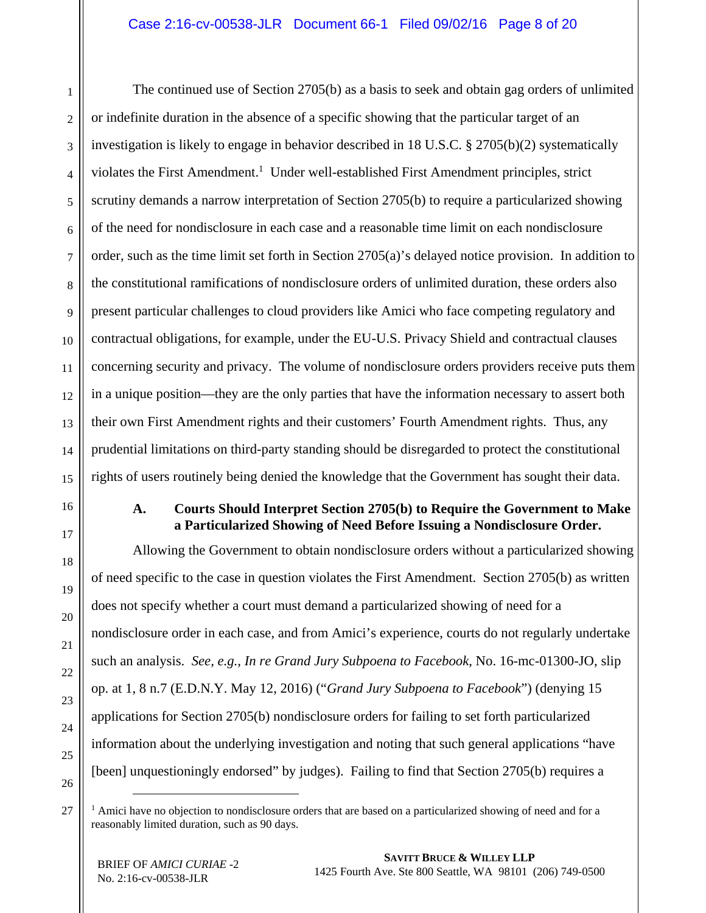#### Case 2:16-cv-00538-JLR Document 66-1 Filed 09/02/16 Page 8 of 20

1 2 3 4 5 6 7 8 9 10 11 12 13 14 15 The continued use of Section 2705(b) as a basis to seek and obtain gag orders of unlimited or indefinite duration in the absence of a specific showing that the particular target of an investigation is likely to engage in behavior described in 18 U.S.C. § 2705(b)(2) systematically violates the First Amendment.<sup>1</sup> Under well-established First Amendment principles, strict scrutiny demands a narrow interpretation of Section 2705(b) to require a particularized showing of the need for nondisclosure in each case and a reasonable time limit on each nondisclosure order, such as the time limit set forth in Section 2705(a)'s delayed notice provision. In addition to the constitutional ramifications of nondisclosure orders of unlimited duration, these orders also present particular challenges to cloud providers like Amici who face competing regulatory and contractual obligations, for example, under the EU-U.S. Privacy Shield and contractual clauses concerning security and privacy. The volume of nondisclosure orders providers receive puts them in a unique position—they are the only parties that have the information necessary to assert both their own First Amendment rights and their customers' Fourth Amendment rights. Thus, any prudential limitations on third-party standing should be disregarded to protect the constitutional rights of users routinely being denied the knowledge that the Government has sought their data.

16 17

18

19

20

21

22

23

24

25

#### **A. Courts Should Interpret Section 2705(b) to Require the Government to Make a Particularized Showing of Need Before Issuing a Nondisclosure Order.**

Allowing the Government to obtain nondisclosure orders without a particularized showing of need specific to the case in question violates the First Amendment. Section 2705(b) as written does not specify whether a court must demand a particularized showing of need for a nondisclosure order in each case, and from Amici's experience, courts do not regularly undertake such an analysis. *See, e.g., In re Grand Jury Subpoena to Facebook*, No. 16-mc-01300-JO, slip op. at 1, 8 n.7 (E.D.N.Y. May 12, 2016) ("*Grand Jury Subpoena to Facebook*") (denying 15 applications for Section 2705(b) nondisclosure orders for failing to set forth particularized information about the underlying investigation and noting that such general applications "have [been] unquestioningly endorsed" by judges). Failing to find that Section 2705(b) requires a

<sup>&</sup>lt;sup>1</sup> Amici have no objection to nondisclosure orders that are based on a particularized showing of need and for a reasonably limited duration, such as 90 days.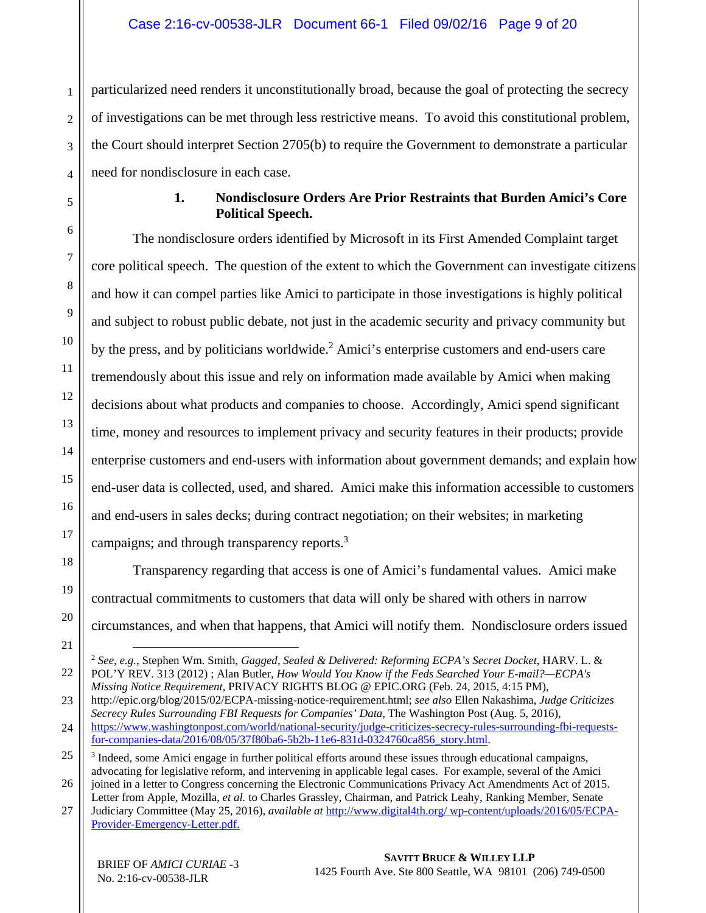particularized need renders it unconstitutionally broad, because the goal of protecting the secrecy of investigations can be met through less restrictive means. To avoid this constitutional problem, the Court should interpret Section 2705(b) to require the Government to demonstrate a particular need for nondisclosure in each case.

#### **1. Nondisclosure Orders Are Prior Restraints that Burden Amici's Core Political Speech.**

The nondisclosure orders identified by Microsoft in its First Amended Complaint target core political speech. The question of the extent to which the Government can investigate citizens and how it can compel parties like Amici to participate in those investigations is highly political and subject to robust public debate, not just in the academic security and privacy community but by the press, and by politicians worldwide.<sup>2</sup> Amici's enterprise customers and end-users care tremendously about this issue and rely on information made available by Amici when making decisions about what products and companies to choose. Accordingly, Amici spend significant time, money and resources to implement privacy and security features in their products; provide enterprise customers and end-users with information about government demands; and explain how end-user data is collected, used, and shared. Amici make this information accessible to customers and end-users in sales decks; during contract negotiation; on their websites; in marketing campaigns; and through transparency reports.<sup>3</sup>

Transparency regarding that access is one of Amici's fundamental values. Amici make contractual commitments to customers that data will only be shared with others in narrow circumstances, and when that happens, that Amici will notify them. Nondisclosure orders issued

 <sup>2</sup> *See, e.g.*, Stephen Wm. Smith, *Gagged, Sealed & Delivered: Reforming ECPA's Secret Docket*, HARV. L. & POL'Y REV. 313 (2012) ; Alan Butler, *How Would You Know if the Feds Searched Your E-mail?—ECPA's Missing Notice Requirement*, PRIVACY RIGHTS BLOG @ EPIC.ORG (Feb. 24, 2015, 4:15 PM),

<sup>23</sup>  24 http://epic.org/blog/2015/02/ECPA-missing-notice-requirement.html; *see also* Ellen Nakashima, *Judge Criticizes Secrecy Rules Surrounding FBI Requests for Companies' Data*, The Washington Post (Aug. 5, 2016), https://www.washingtonpost.com/world/national-security/judge-criticizes-secrecy-rules-surrounding-fbi-requestsfor-companies-data/2016/08/05/37f80ba6-5b2b-11e6-831d-0324760ca856\_story.html.

<sup>25</sup>  26 <sup>3</sup> Indeed, some Amici engage in further political efforts around these issues through educational campaigns, advocating for legislative reform, and intervening in applicable legal cases. For example, several of the Amici joined in a letter to Congress concerning the Electronic Communications Privacy Act Amendments Act of 2015.

Letter from Apple, Mozilla, *et al.* to Charles Grassley, Chairman, and Patrick Leahy, Ranking Member, Senate

<sup>27</sup>  Judiciary Committee (May 25, 2016), *available at* http://www.digital4th.org/ wp-content/uploads/2016/05/ECPA-Provider-Emergency-Letter.pdf.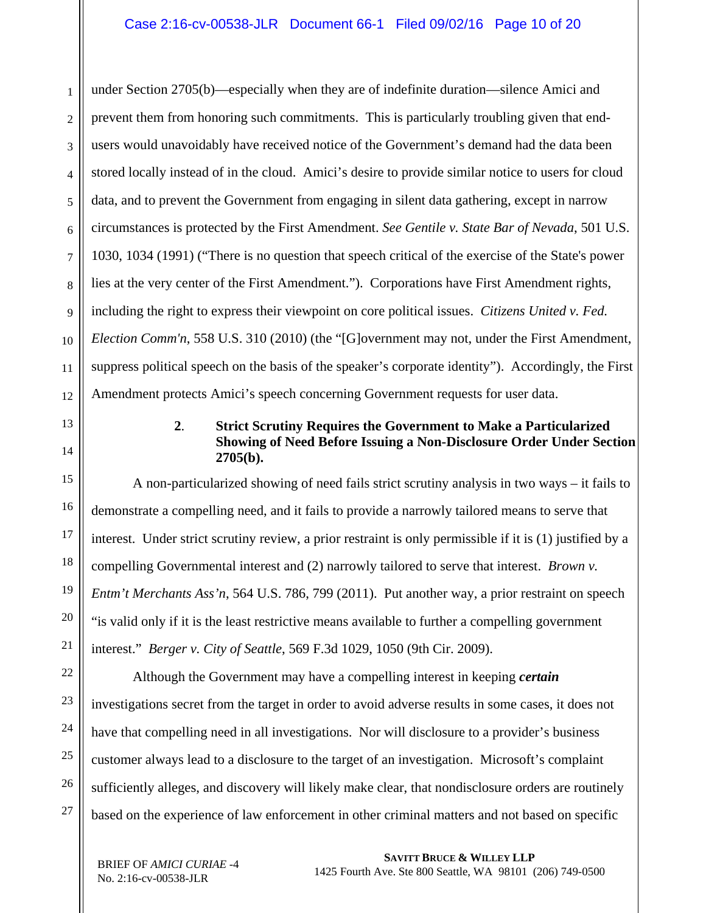1 2 3 4 5 6 7 8 9 10 11 12 under Section 2705(b)—especially when they are of indefinite duration—silence Amici and prevent them from honoring such commitments. This is particularly troubling given that endusers would unavoidably have received notice of the Government's demand had the data been stored locally instead of in the cloud. Amici's desire to provide similar notice to users for cloud data, and to prevent the Government from engaging in silent data gathering, except in narrow circumstances is protected by the First Amendment. *See Gentile v. State Bar of Nevada*, 501 U.S. 1030, 1034 (1991) ("There is no question that speech critical of the exercise of the State's power lies at the very center of the First Amendment."). Corporations have First Amendment rights, including the right to express their viewpoint on core political issues. *Citizens United v. Fed. Election Comm'n*, 558 U.S. 310 (2010) (the "[G]overnment may not, under the First Amendment, suppress political speech on the basis of the speaker's corporate identity"). Accordingly, the First Amendment protects Amici's speech concerning Government requests for user data.

13 14

#### **2**. **Strict Scrutiny Requires the Government to Make a Particularized Showing of Need Before Issuing a Non-Disclosure Order Under Section 2705(b).**

15 16 17 18 19 20 21 A non-particularized showing of need fails strict scrutiny analysis in two ways – it fails to demonstrate a compelling need, and it fails to provide a narrowly tailored means to serve that interest. Under strict scrutiny review, a prior restraint is only permissible if it is (1) justified by a compelling Governmental interest and (2) narrowly tailored to serve that interest. *Brown v. Entm't Merchants Ass'n*, 564 U.S. 786, 799 (2011). Put another way, a prior restraint on speech "is valid only if it is the least restrictive means available to further a compelling government interest." *Berger v. City of Seattle*, 569 F.3d 1029, 1050 (9th Cir. 2009).

22 23 24 25 26 27 Although the Government may have a compelling interest in keeping *certain* investigations secret from the target in order to avoid adverse results in some cases, it does not have that compelling need in all investigations. Nor will disclosure to a provider's business customer always lead to a disclosure to the target of an investigation. Microsoft's complaint sufficiently alleges, and discovery will likely make clear, that nondisclosure orders are routinely based on the experience of law enforcement in other criminal matters and not based on specific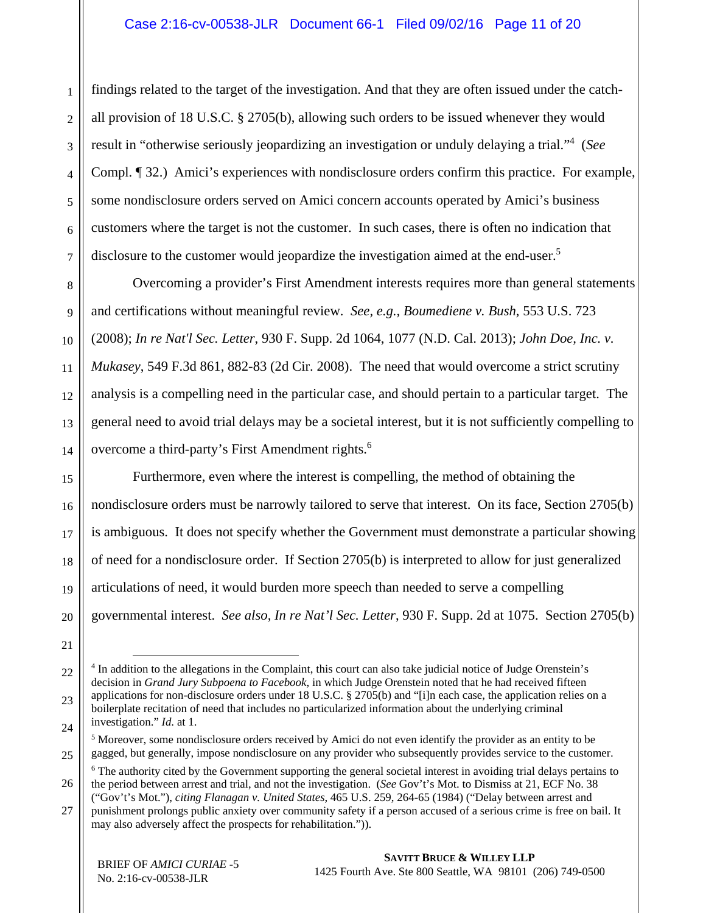findings related to the target of the investigation. And that they are often issued under the catchall provision of 18 U.S.C. § 2705(b), allowing such orders to be issued whenever they would result in "otherwise seriously jeopardizing an investigation or unduly delaying a trial."4 (*See* Compl. ¶ 32.) Amici's experiences with nondisclosure orders confirm this practice. For example, some nondisclosure orders served on Amici concern accounts operated by Amici's business customers where the target is not the customer. In such cases, there is often no indication that disclosure to the customer would jeopardize the investigation aimed at the end-user.<sup>5</sup>

8 9 10 11 12 13 14 Overcoming a provider's First Amendment interests requires more than general statements and certifications without meaningful review. *See, e.g., Boumediene v. Bush*, 553 U.S. 723 (2008); *In re Nat'l Sec. Letter*, 930 F. Supp. 2d 1064, 1077 (N.D. Cal. 2013); *John Doe, Inc. v. Mukasey*, 549 F.3d 861, 882-83 (2d Cir. 2008). The need that would overcome a strict scrutiny analysis is a compelling need in the particular case, and should pertain to a particular target. The general need to avoid trial delays may be a societal interest, but it is not sufficiently compelling to overcome a third-party's First Amendment rights.<sup>6</sup>

15 16 17 18 19 20 Furthermore, even where the interest is compelling, the method of obtaining the nondisclosure orders must be narrowly tailored to serve that interest. On its face, Section 2705(b) is ambiguous. It does not specify whether the Government must demonstrate a particular showing of need for a nondisclosure order. If Section 2705(b) is interpreted to allow for just generalized articulations of need, it would burden more speech than needed to serve a compelling governmental interest. *See also, In re Nat'l Sec. Letter*, 930 F. Supp. 2d at 1075. Section 2705(b)

21

1

2

3

4

5

6

<sup>22</sup>  23 24 <sup>4</sup> In addition to the allegations in the Complaint, this court can also take judicial notice of Judge Orenstein's decision in *Grand Jury Subpoena to Facebook*, in which Judge Orenstein noted that he had received fifteen applications for non-disclosure orders under 18 U.S.C. § 2705(b) and "[i]n each case, the application relies on a boilerplate recitation of need that includes no particularized information about the underlying criminal investigation." *Id*. at 1.

<sup>25</sup>  <sup>5</sup> Moreover, some nondisclosure orders received by Amici do not even identify the provider as an entity to be gagged, but generally, impose nondisclosure on any provider who subsequently provides service to the customer.

<sup>26</sup>  <sup>6</sup> The authority cited by the Government supporting the general societal interest in avoiding trial delays pertains to the period between arrest and trial, and not the investigation. (*See* Gov't's Mot. to Dismiss at 21, ECF No. 38

<sup>27</sup>  ("Gov't's Mot."), *citing Flanagan v. United States*, 465 U.S. 259, 264-65 (1984) ("Delay between arrest and punishment prolongs public anxiety over community safety if a person accused of a serious crime is free on bail. It may also adversely affect the prospects for rehabilitation.")).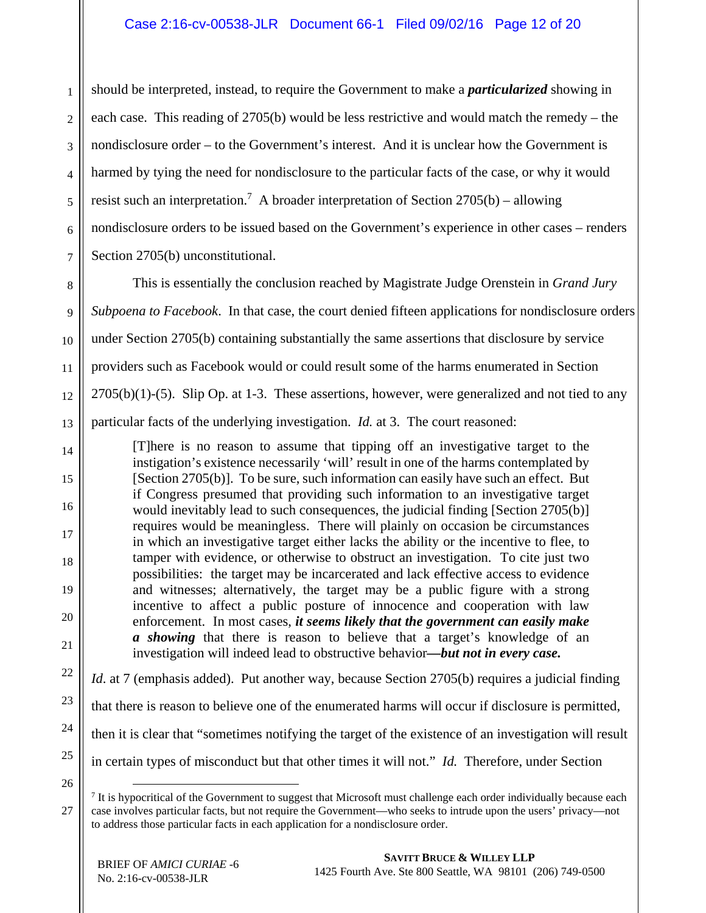1 2 3 4 5 6 7 should be interpreted, instead, to require the Government to make a *particularized* showing in each case. This reading of 2705(b) would be less restrictive and would match the remedy – the nondisclosure order – to the Government's interest. And it is unclear how the Government is harmed by tying the need for nondisclosure to the particular facts of the case, or why it would resist such an interpretation.<sup>7</sup> A broader interpretation of Section  $2705(b)$  – allowing nondisclosure orders to be issued based on the Government's experience in other cases – renders Section 2705(b) unconstitutional.

8 9 10 11 12 13 This is essentially the conclusion reached by Magistrate Judge Orenstein in *Grand Jury Subpoena to Facebook*. In that case, the court denied fifteen applications for nondisclosure orders under Section 2705(b) containing substantially the same assertions that disclosure by service providers such as Facebook would or could result some of the harms enumerated in Section  $2705(b)(1)-(5)$ . Slip Op. at 1-3. These assertions, however, were generalized and not tied to any particular facts of the underlying investigation. *Id.* at 3. The court reasoned:

14 15 16 17 18 19 20 21 [T]here is no reason to assume that tipping off an investigative target to the instigation's existence necessarily 'will' result in one of the harms contemplated by [Section 2705(b)]. To be sure, such information can easily have such an effect. But if Congress presumed that providing such information to an investigative target would inevitably lead to such consequences, the judicial finding [Section 2705(b)] requires would be meaningless. There will plainly on occasion be circumstances in which an investigative target either lacks the ability or the incentive to flee, to tamper with evidence, or otherwise to obstruct an investigation. To cite just two possibilities: the target may be incarcerated and lack effective access to evidence and witnesses; alternatively, the target may be a public figure with a strong incentive to affect a public posture of innocence and cooperation with law enforcement. In most cases, *it seems likely that the government can easily make a showing* that there is reason to believe that a target's knowledge of an investigation will indeed lead to obstructive behavior*—but not in every case.* 

22 23 24 25 *Id.* at 7 (emphasis added). Put another way, because Section 2705(b) requires a judicial finding that there is reason to believe one of the enumerated harms will occur if disclosure is permitted, then it is clear that "sometimes notifying the target of the existence of an investigation will result in certain types of misconduct but that other times it will not." *Id.* Therefore, under Section

26

<sup>&</sup>lt;sup>7</sup> It is hypocritical of the Government to suggest that Microsoft must challenge each order individually because each case involves particular facts, but not require the Government—who seeks to intrude upon the users' privacy—not to address those particular facts in each application for a nondisclosure order.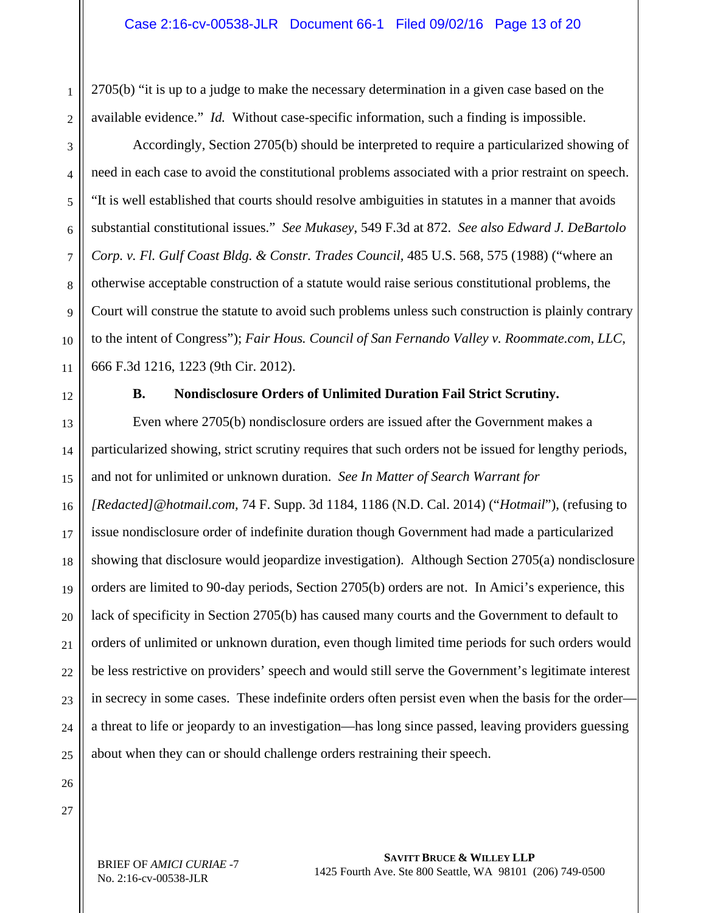2705(b) "it is up to a judge to make the necessary determination in a given case based on the available evidence." *Id.* Without case-specific information, such a finding is impossible.

Accordingly, Section 2705(b) should be interpreted to require a particularized showing of need in each case to avoid the constitutional problems associated with a prior restraint on speech. "It is well established that courts should resolve ambiguities in statutes in a manner that avoids substantial constitutional issues." *See Mukasey*, 549 F.3d at 872. *See also Edward J. DeBartolo Corp. v. Fl. Gulf Coast Bldg. & Constr. Trades Council,* 485 U.S. 568, 575 (1988) ("where an otherwise acceptable construction of a statute would raise serious constitutional problems, the Court will construe the statute to avoid such problems unless such construction is plainly contrary to the intent of Congress"); *Fair Hous. Council of San Fernando Valley v. Roommate.com, LLC*, 666 F.3d 1216, 1223 (9th Cir. 2012).

11 12

1

2

3

4

5

6

7

8

9

10

#### **B. Nondisclosure Orders of Unlimited Duration Fail Strict Scrutiny.**

13 14 15 16 17 18 19 20 21 22 23 24 25 Even where 2705(b) nondisclosure orders are issued after the Government makes a particularized showing, strict scrutiny requires that such orders not be issued for lengthy periods, and not for unlimited or unknown duration. *See In Matter of Search Warrant for [Redacted]@hotmail.com,* 74 F. Supp. 3d 1184, 1186 (N.D. Cal. 2014) ("*Hotmail*"), (refusing to issue nondisclosure order of indefinite duration though Government had made a particularized showing that disclosure would jeopardize investigation). Although Section 2705(a) nondisclosure orders are limited to 90-day periods, Section 2705(b) orders are not. In Amici's experience, this lack of specificity in Section 2705(b) has caused many courts and the Government to default to orders of unlimited or unknown duration, even though limited time periods for such orders would be less restrictive on providers' speech and would still serve the Government's legitimate interest in secrecy in some cases. These indefinite orders often persist even when the basis for the order a threat to life or jeopardy to an investigation—has long since passed, leaving providers guessing about when they can or should challenge orders restraining their speech.

BRIEF OF *AMICI CURIAE* -7 No. 2:16-cv-00538-JLR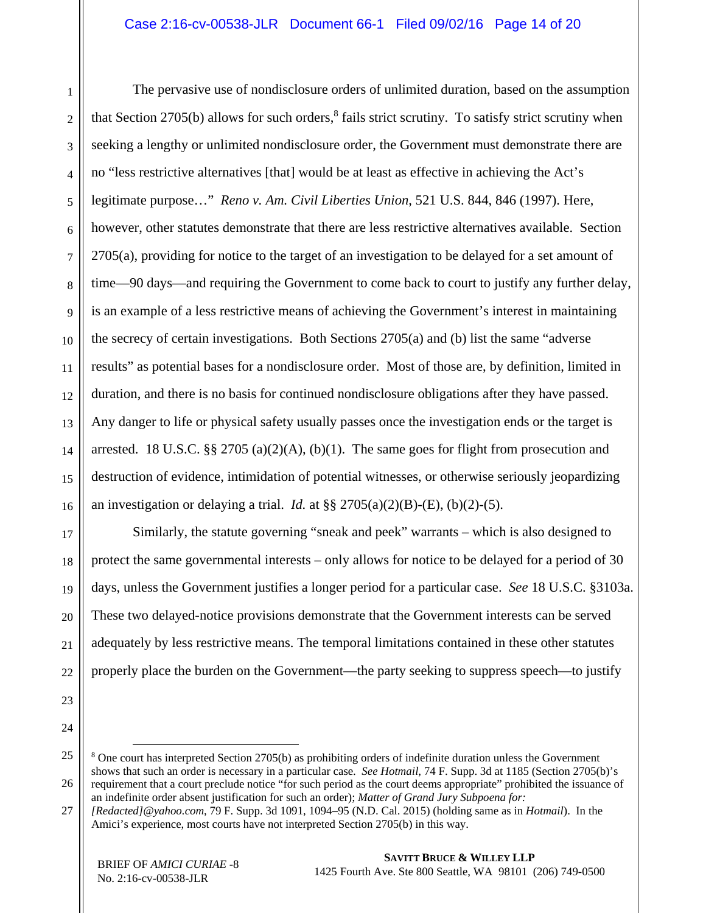#### Case 2:16-cv-00538-JLR Document 66-1 Filed 09/02/16 Page 14 of 20

1 2 The pervasive use of nondisclosure orders of unlimited duration, based on the assumption that Section 2705(b) allows for such orders,<sup>8</sup> fails strict scrutiny. To satisfy strict scrutiny when seeking a lengthy or unlimited nondisclosure order, the Government must demonstrate there are no "less restrictive alternatives [that] would be at least as effective in achieving the Act's legitimate purpose…" *Reno v. Am. Civil Liberties Union*, 521 U.S. 844, 846 (1997). Here, however, other statutes demonstrate that there are less restrictive alternatives available. Section 2705(a), providing for notice to the target of an investigation to be delayed for a set amount of time—90 days—and requiring the Government to come back to court to justify any further delay, is an example of a less restrictive means of achieving the Government's interest in maintaining the secrecy of certain investigations. Both Sections 2705(a) and (b) list the same "adverse results" as potential bases for a nondisclosure order. Most of those are, by definition, limited in duration, and there is no basis for continued nondisclosure obligations after they have passed. Any danger to life or physical safety usually passes once the investigation ends or the target is arrested. 18 U.S.C. §§ 2705 (a)(2)(A), (b)(1). The same goes for flight from prosecution and destruction of evidence, intimidation of potential witnesses, or otherwise seriously jeopardizing an investigation or delaying a trial. *Id.* at  $\S\S 2705(a)(2)(B)$ -(E), (b)(2)-(5).

Similarly, the statute governing "sneak and peek" warrants – which is also designed to protect the same governmental interests – only allows for notice to be delayed for a period of 30 days, unless the Government justifies a longer period for a particular case. *See* 18 U.S.C. §3103a. These two delayed-notice provisions demonstrate that the Government interests can be served adequately by less restrictive means. The temporal limitations contained in these other statutes properly place the burden on the Government—the party seeking to suppress speech—to justify

<sup>&</sup>lt;sup>8</sup> One court has interpreted Section 2705(b) as prohibiting orders of indefinite duration unless the Government shows that such an order is necessary in a particular case. *See Hotmail*, 74 F. Supp. 3d at 1185 (Section 2705(b)'s requirement that a court preclude notice "for such period as the court deems appropriate" prohibited the issuance of an indefinite order absent justification for such an order); *Matter of Grand Jury Subpoena for:* 

<sup>27</sup>  *[Redacted]@yahoo.com*, 79 F. Supp. 3d 1091, 1094–95 (N.D. Cal. 2015) (holding same as in *Hotmail*). In the Amici's experience, most courts have not interpreted Section 2705(b) in this way.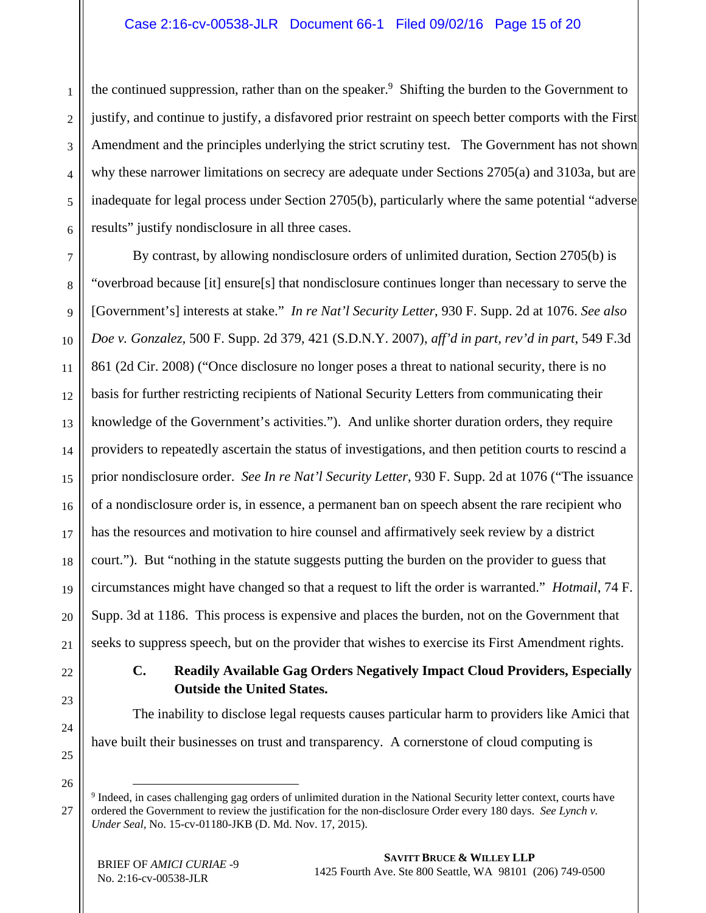6 the continued suppression, rather than on the speaker.<sup>9</sup> Shifting the burden to the Government to justify, and continue to justify, a disfavored prior restraint on speech better comports with the First Amendment and the principles underlying the strict scrutiny test. The Government has not shown why these narrower limitations on secrecy are adequate under Sections 2705(a) and 3103a, but are inadequate for legal process under Section 2705(b), particularly where the same potential "adverse results" justify nondisclosure in all three cases.

7 8 9 10 11 12 13 14 15 16 17 18 19 20 21 By contrast, by allowing nondisclosure orders of unlimited duration, Section 2705(b) is "overbroad because [it] ensure[s] that nondisclosure continues longer than necessary to serve the [Government's] interests at stake." *In re Nat'l Security Letter*, 930 F. Supp. 2d at 1076. *See also Doe v. Gonzalez,* 500 F. Supp. 2d 379, 421 (S.D.N.Y. 2007), *aff'd in part, rev'd in part*, 549 F.3d 861 (2d Cir. 2008) ("Once disclosure no longer poses a threat to national security, there is no basis for further restricting recipients of National Security Letters from communicating their knowledge of the Government's activities."). And unlike shorter duration orders, they require providers to repeatedly ascertain the status of investigations, and then petition courts to rescind a prior nondisclosure order. *See In re Nat'l Security Letter*, 930 F. Supp. 2d at 1076 ("The issuance of a nondisclosure order is, in essence, a permanent ban on speech absent the rare recipient who has the resources and motivation to hire counsel and affirmatively seek review by a district court."). But "nothing in the statute suggests putting the burden on the provider to guess that circumstances might have changed so that a request to lift the order is warranted." *Hotmail*, 74 F. Supp. 3d at 1186. This process is expensive and places the burden, not on the Government that seeks to suppress speech, but on the provider that wishes to exercise its First Amendment rights.

#### **C. Readily Available Gag Orders Negatively Impact Cloud Providers, Especially Outside the United States.**

The inability to disclose legal requests causes particular harm to providers like Amici that have built their businesses on trust and transparency. A cornerstone of cloud computing is

26 27

22

23

24

25

1

2

3

4

<sup>&</sup>lt;sup>9</sup> Indeed, in cases challenging gag orders of unlimited duration in the National Security letter context, courts have ordered the Government to review the justification for the non-disclosure Order every 180 days. *See Lynch v. Under Seal,* No. 15-cv-01180-JKB (D. Md. Nov. 17, 2015).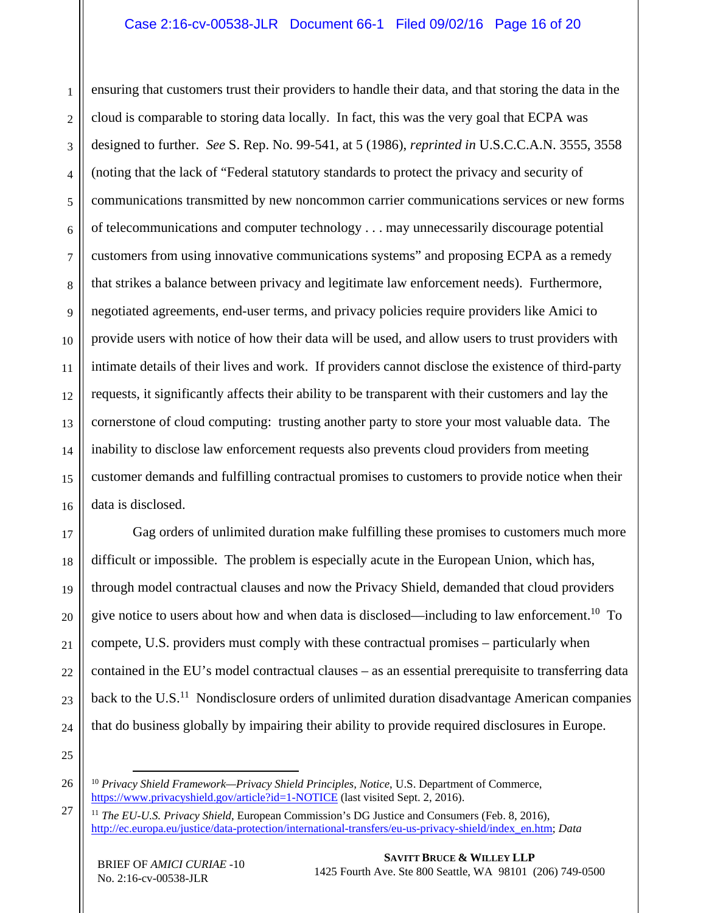#### Case 2:16-cv-00538-JLR Document 66-1 Filed 09/02/16 Page 16 of 20

1 2 3 4 5 6 7 8 9 10 11 12 13 14 15 16 ensuring that customers trust their providers to handle their data, and that storing the data in the cloud is comparable to storing data locally. In fact, this was the very goal that ECPA was designed to further. *See* S. Rep. No. 99-541, at 5 (1986), *reprinted in* U.S.C.C.A.N. 3555, 3558 (noting that the lack of "Federal statutory standards to protect the privacy and security of communications transmitted by new noncommon carrier communications services or new forms of telecommunications and computer technology . . . may unnecessarily discourage potential customers from using innovative communications systems" and proposing ECPA as a remedy that strikes a balance between privacy and legitimate law enforcement needs). Furthermore, negotiated agreements, end-user terms, and privacy policies require providers like Amici to provide users with notice of how their data will be used, and allow users to trust providers with intimate details of their lives and work. If providers cannot disclose the existence of third-party requests, it significantly affects their ability to be transparent with their customers and lay the cornerstone of cloud computing: trusting another party to store your most valuable data. The inability to disclose law enforcement requests also prevents cloud providers from meeting customer demands and fulfilling contractual promises to customers to provide notice when their data is disclosed.

17 18 19 20 21 22 23 24 Gag orders of unlimited duration make fulfilling these promises to customers much more difficult or impossible. The problem is especially acute in the European Union, which has, through model contractual clauses and now the Privacy Shield, demanded that cloud providers give notice to users about how and when data is disclosed—including to law enforcement.<sup>10</sup> To compete, U.S. providers must comply with these contractual promises – particularly when contained in the EU's model contractual clauses – as an essential prerequisite to transferring data back to the U.S.<sup>11</sup> Nondisclosure orders of unlimited duration disadvantage American companies that do business globally by impairing their ability to provide required disclosures in Europe.

25

 <sup>10</sup> *Privacy Shield Framework—Privacy Shield Principles, Notice*, U.S. Department of Commerce, https://www.privacyshield.gov/article?id=1-NOTICE (last visited Sept. 2, 2016).

<sup>27</sup>  <sup>11</sup> *The EU-U.S. Privacy Shield*, European Commission's DG Justice and Consumers (Feb. 8, 2016), http://ec.europa.eu/justice/data-protection/international-transfers/eu-us-privacy-shield/index\_en.htm; *Data*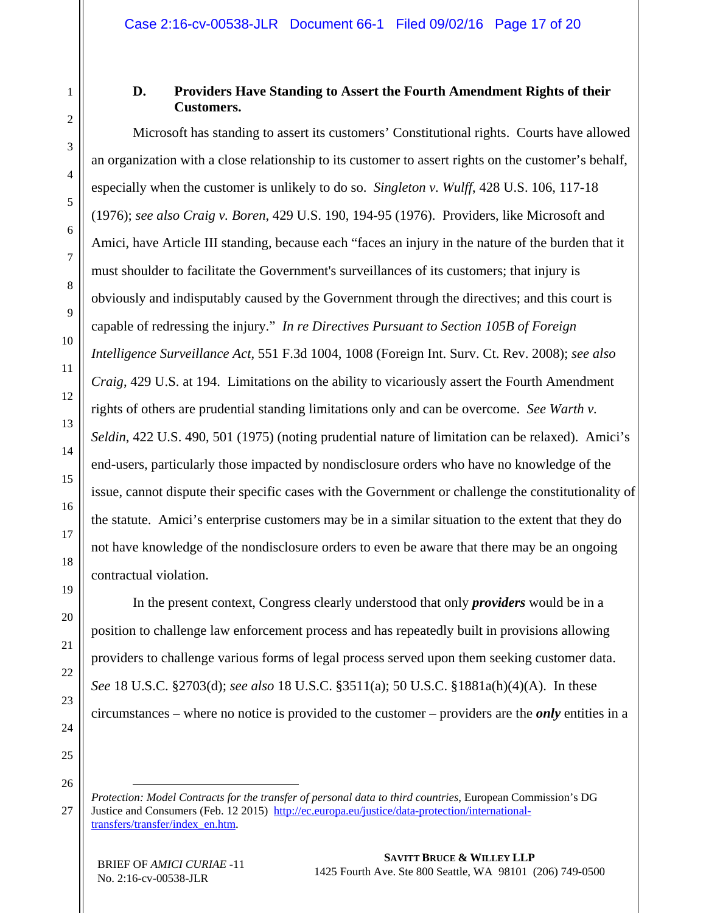### **D. Providers Have Standing to Assert the Fourth Amendment Rights of their Customers.**

Microsoft has standing to assert its customers' Constitutional rights. Courts have allowed an organization with a close relationship to its customer to assert rights on the customer's behalf, especially when the customer is unlikely to do so. *Singleton v. Wulff*, 428 U.S. 106, 117-18 (1976); *see also Craig v. Boren*, 429 U.S. 190, 194-95 (1976). Providers, like Microsoft and Amici, have Article III standing, because each "faces an injury in the nature of the burden that it must shoulder to facilitate the Government's surveillances of its customers; that injury is obviously and indisputably caused by the Government through the directives; and this court is capable of redressing the injury." *In re Directives Pursuant to Section 105B of Foreign Intelligence Surveillance Act*, 551 F.3d 1004, 1008 (Foreign Int. Surv. Ct. Rev. 2008); *see also Craig*, 429 U.S. at 194. Limitations on the ability to vicariously assert the Fourth Amendment rights of others are prudential standing limitations only and can be overcome. *See Warth v. Seldin*, 422 U.S. 490, 501 (1975) (noting prudential nature of limitation can be relaxed). Amici's end-users, particularly those impacted by nondisclosure orders who have no knowledge of the issue, cannot dispute their specific cases with the Government or challenge the constitutionality of the statute. Amici's enterprise customers may be in a similar situation to the extent that they do not have knowledge of the nondisclosure orders to even be aware that there may be an ongoing contractual violation.

In the present context, Congress clearly understood that only *providers* would be in a position to challenge law enforcement process and has repeatedly built in provisions allowing providers to challenge various forms of legal process served upon them seeking customer data. *See* 18 U.S.C. §2703(d); *see also* 18 U.S.C. §3511(a); 50 U.S.C. §1881a(h)(4)(A). In these circumstances – where no notice is provided to the customer – providers are the *only* entities in a

*Protection: Model Contracts for the transfer of personal data to third countries*, European Commission's DG Justice and Consumers (Feb. 12 2015) http://ec.europa.eu/justice/data-protection/internationaltransfers/transfer/index\_en.htm.

 $\overline{a}$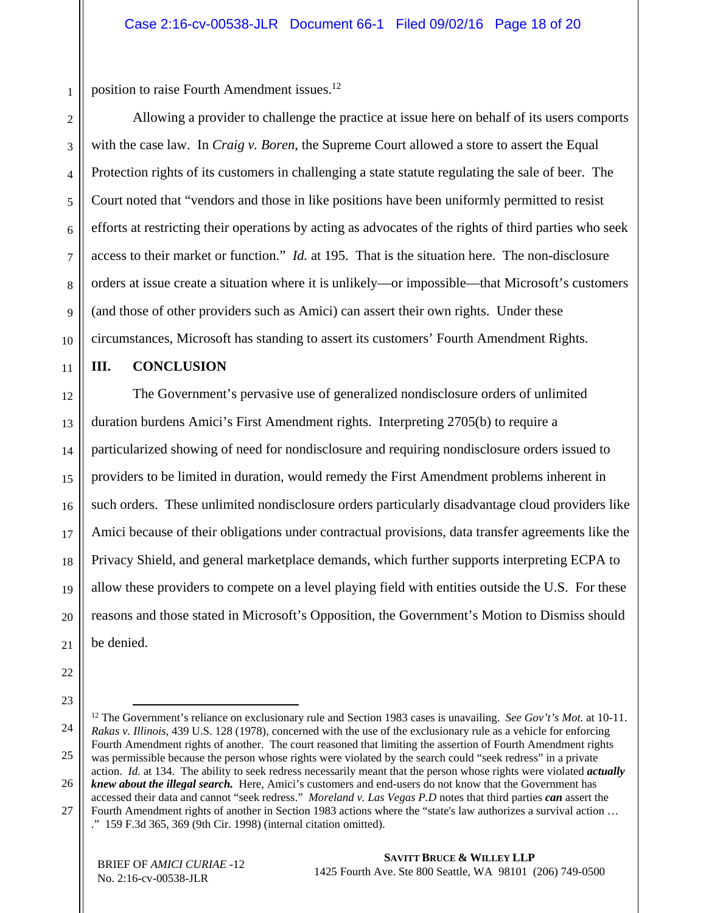position to raise Fourth Amendment issues.<sup>12</sup>

Allowing a provider to challenge the practice at issue here on behalf of its users comports with the case law. In *Craig v. Boren*, the Supreme Court allowed a store to assert the Equal Protection rights of its customers in challenging a state statute regulating the sale of beer. The Court noted that "vendors and those in like positions have been uniformly permitted to resist efforts at restricting their operations by acting as advocates of the rights of third parties who seek access to their market or function." *Id.* at 195. That is the situation here. The non-disclosure orders at issue create a situation where it is unlikely—or impossible—that Microsoft's customers (and those of other providers such as Amici) can assert their own rights. Under these circumstances, Microsoft has standing to assert its customers' Fourth Amendment Rights.

11

10

1

2

3

4

5

6

7

8

9

#### **III. CONCLUSION**

12 13 14 15 16 17 18 19 20 21 The Government's pervasive use of generalized nondisclosure orders of unlimited duration burdens Amici's First Amendment rights. Interpreting 2705(b) to require a particularized showing of need for nondisclosure and requiring nondisclosure orders issued to providers to be limited in duration, would remedy the First Amendment problems inherent in such orders. These unlimited nondisclosure orders particularly disadvantage cloud providers like Amici because of their obligations under contractual provisions, data transfer agreements like the Privacy Shield, and general marketplace demands, which further supports interpreting ECPA to allow these providers to compete on a level playing field with entities outside the U.S. For these reasons and those stated in Microsoft's Opposition, the Government's Motion to Dismiss should be denied.

- 22
- 23

<sup>24</sup>  25 26 27 12 The Government's reliance on exclusionary rule and Section 1983 cases is unavailing. *See Gov't's Mot.* at 10-11. *Rakas v. Illinois*, 439 U.S. 128 (1978), concerned with the use of the exclusionary rule as a vehicle for enforcing Fourth Amendment rights of another. The court reasoned that limiting the assertion of Fourth Amendment rights was permissible because the person whose rights were violated by the search could "seek redress" in a private action. *Id.* at 134. The ability to seek redress necessarily meant that the person whose rights were violated *actually knew about the illegal search.* Here, Amici's customers and end-users do not know that the Government has accessed their data and cannot "seek redress." *Moreland v. Las Vegas P.D* notes that third parties *can* assert the Fourth Amendment rights of another in Section 1983 actions where the "state's law authorizes a survival action …

<sup>.&</sup>quot; 159 F.3d 365, 369 (9th Cir. 1998) (internal citation omitted).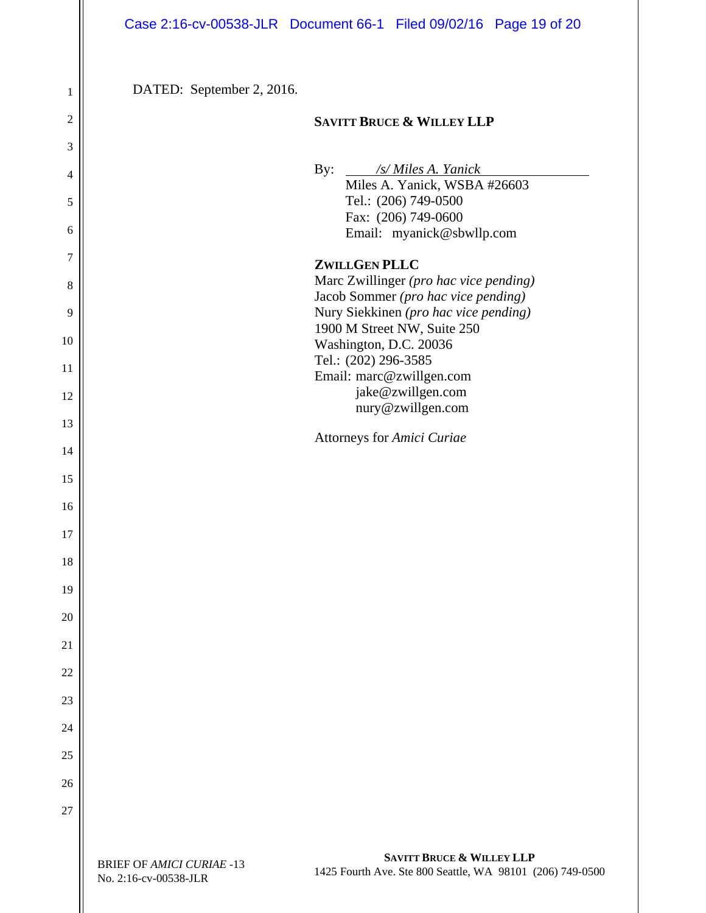|                       | Case 2:16-cv-00538-JLR Document 66-1 Filed 09/02/16 Page 19 of 20                                                                                              |
|-----------------------|----------------------------------------------------------------------------------------------------------------------------------------------------------------|
| 1<br>$\boldsymbol{2}$ | DATED: September 2, 2016.<br><b>SAVITT BRUCE &amp; WILLEY LLP</b>                                                                                              |
| $\mathfrak{Z}$        |                                                                                                                                                                |
| $\overline{4}$        | By:<br>/s/ Miles A. Yanick<br>Miles A. Yanick, WSBA #26603                                                                                                     |
| $\sqrt{5}$            | Tel.: (206) 749-0500<br>Fax: (206) 749-0600                                                                                                                    |
| $\boldsymbol{6}$      | Email: myanick@sbwllp.com                                                                                                                                      |
| $\tau$                | <b>ZWILLGEN PLLC</b><br>Marc Zwillinger (pro hac vice pending)                                                                                                 |
| $\,8\,$<br>9          | Jacob Sommer (pro hac vice pending)<br>Nury Siekkinen (pro hac vice pending)                                                                                   |
| 10                    | 1900 M Street NW, Suite 250<br>Washington, D.C. 20036                                                                                                          |
| 11                    | Tel.: (202) 296-3585                                                                                                                                           |
| 12                    | Email: marc@zwillgen.com<br>jake@zwillgen.com                                                                                                                  |
| 13                    | nury@zwillgen.com<br>Attorneys for Amici Curiae                                                                                                                |
| 14                    |                                                                                                                                                                |
| 15                    |                                                                                                                                                                |
| 16                    |                                                                                                                                                                |
| 17<br>18              |                                                                                                                                                                |
| 19                    |                                                                                                                                                                |
| 20                    |                                                                                                                                                                |
| $\overline{21}$       |                                                                                                                                                                |
| $\overline{22}$       |                                                                                                                                                                |
| 23                    |                                                                                                                                                                |
| 24                    |                                                                                                                                                                |
| 25                    |                                                                                                                                                                |
| 26<br>27              |                                                                                                                                                                |
|                       |                                                                                                                                                                |
|                       | <b>SAVITT BRUCE &amp; WILLEY LLP</b><br><b>BRIEF OF AMICI CURIAE -13</b><br>1425 Fourth Ave. Ste 800 Seattle, WA 98101 (206) 749-0500<br>No. 2:16-cv-00538-JLR |